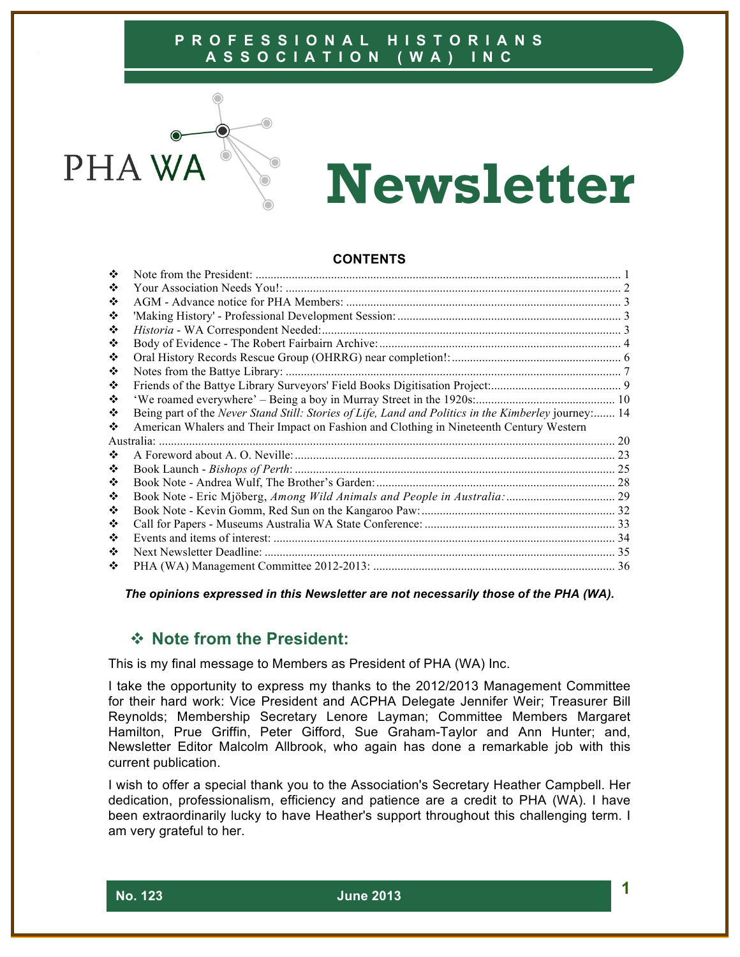

# **Newsletter**

#### **CONTENTS**

| ❖  |                                                                                                      |    |
|----|------------------------------------------------------------------------------------------------------|----|
| ❖  |                                                                                                      |    |
| ❖  |                                                                                                      |    |
| ❖  |                                                                                                      |    |
| ❖  |                                                                                                      |    |
| ❖  |                                                                                                      |    |
| ❖  |                                                                                                      |    |
| ❖  |                                                                                                      |    |
| ❖  |                                                                                                      |    |
| ❖  |                                                                                                      |    |
| ❖  | Being part of the Never Stand Still: Stories of Life, Land and Politics in the Kimberley journey: 14 |    |
| ❖  | American Whalers and Their Impact on Fashion and Clothing in Nineteenth Century Western              |    |
|    | Australia:                                                                                           | 20 |
| ∙≫ |                                                                                                      |    |
| ❖  |                                                                                                      |    |
| ❖  |                                                                                                      |    |
| ❖  |                                                                                                      |    |
| ❖  |                                                                                                      |    |
| ❖  |                                                                                                      |    |
| ❖  |                                                                                                      |    |
| ❖  | Next Newsletter Deadline:                                                                            |    |
| ❖  |                                                                                                      |    |
|    |                                                                                                      |    |

*The opinions expressed in this Newsletter are not necessarily those of the PHA (WA).*

# ! **Note from the President:**

This is my final message to Members as President of PHA (WA) Inc.

I take the opportunity to express my thanks to the 2012/2013 Management Committee for their hard work: Vice President and ACPHA Delegate Jennifer Weir; Treasurer Bill Reynolds; Membership Secretary Lenore Layman; Committee Members Margaret Hamilton, Prue Griffin, Peter Gifford, Sue Graham-Taylor and Ann Hunter; and, Newsletter Editor Malcolm Allbrook, who again has done a remarkable job with this current publication.

I wish to offer a special thank you to the Association's Secretary Heather Campbell. Her dedication, professionalism, efficiency and patience are a credit to PHA (WA). I have been extraordinarily lucky to have Heather's support throughout this challenging term. I am very grateful to her.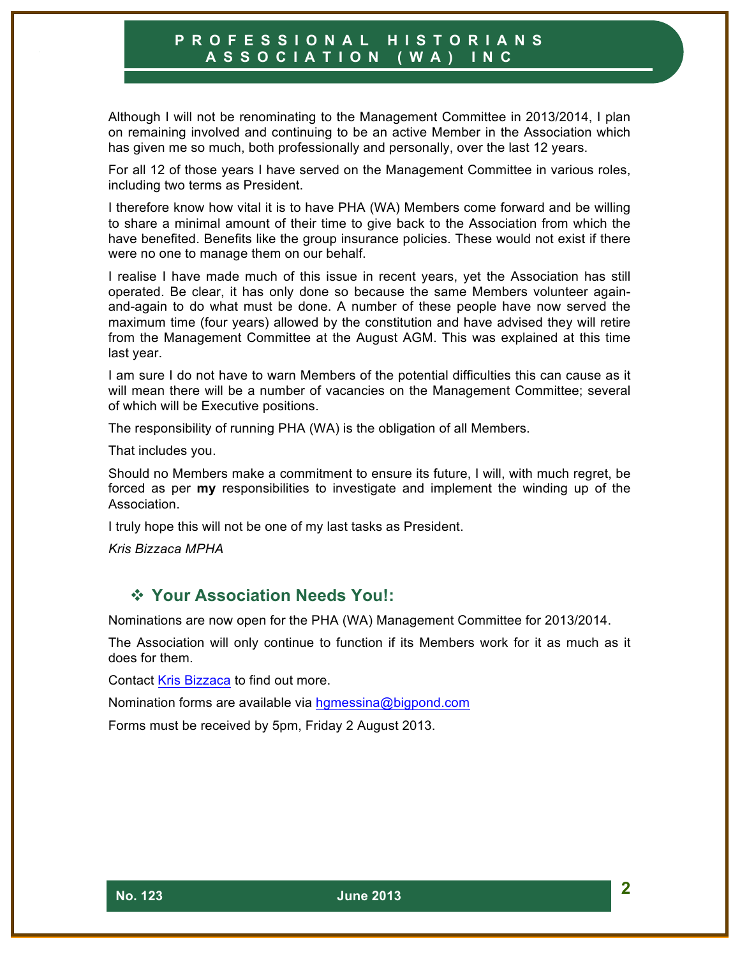Although I will not be renominating to the Management Committee in 2013/2014, I plan on remaining involved and continuing to be an active Member in the Association which has given me so much, both professionally and personally, over the last 12 years.

For all 12 of those years I have served on the Management Committee in various roles, including two terms as President.

I therefore know how vital it is to have PHA (WA) Members come forward and be willing to share a minimal amount of their time to give back to the Association from which the have benefited. Benefits like the group insurance policies. These would not exist if there were no one to manage them on our behalf.

I realise I have made much of this issue in recent years, yet the Association has still operated. Be clear, it has only done so because the same Members volunteer againand-again to do what must be done. A number of these people have now served the maximum time (four years) allowed by the constitution and have advised they will retire from the Management Committee at the August AGM. This was explained at this time last year.

I am sure I do not have to warn Members of the potential difficulties this can cause as it will mean there will be a number of vacancies on the Management Committee; several of which will be Executive positions.

The responsibility of running PHA (WA) is the obligation of all Members.

That includes you.

Should no Members make a commitment to ensure its future, I will, with much regret, be forced as per **my** responsibilities to investigate and implement the winding up of the Association.

I truly hope this will not be one of my last tasks as President.

*Kris Bizzaca MPHA*

# ! **Your Association Needs You!:**

Nominations are now open for the PHA (WA) Management Committee for 2013/2014.

The Association will only continue to function if its Members work for it as much as it does for them.

Contact Kris Bizzaca to find out more.

Nomination forms are available via hgmessina@bigpond.com

Forms must be received by 5pm, Friday 2 August 2013.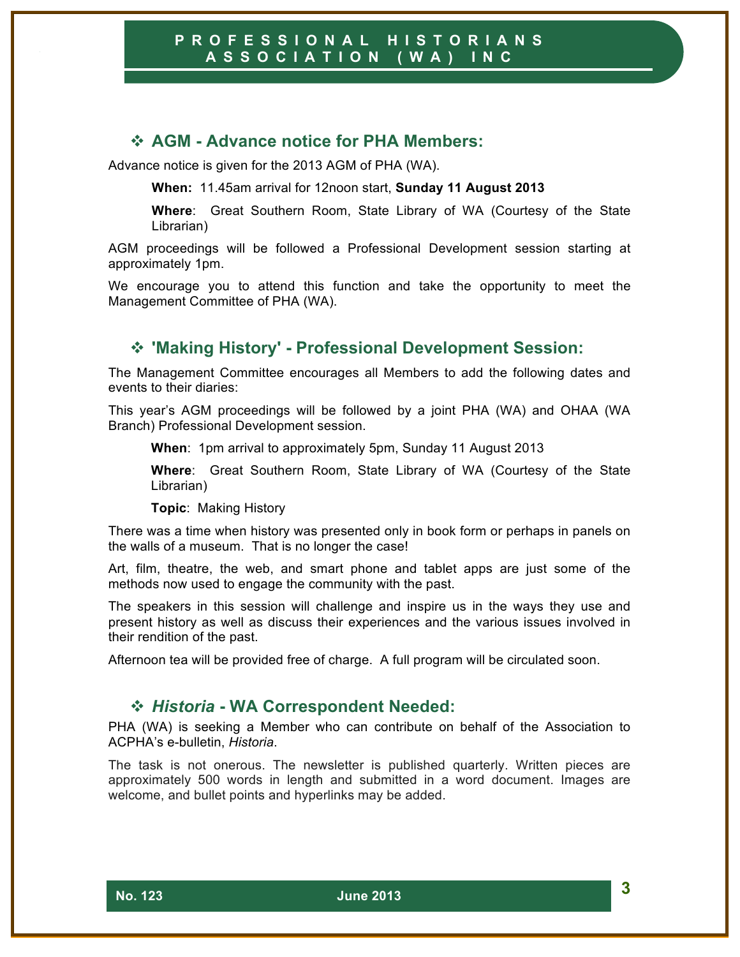## ! **AGM - Advance notice for PHA Members:**

Advance notice is given for the 2013 AGM of PHA (WA).

**When:** 11.45am arrival for 12noon start, **Sunday 11 August 2013**

**Where**: Great Southern Room, State Library of WA (Courtesy of the State Librarian)

AGM proceedings will be followed a Professional Development session starting at approximately 1pm.

We encourage you to attend this function and take the opportunity to meet the Management Committee of PHA (WA).

# ! **'Making History' - Professional Development Session:**

The Management Committee encourages all Members to add the following dates and events to their diaries:

This year's AGM proceedings will be followed by a joint PHA (WA) and OHAA (WA Branch) Professional Development session.

**When**: 1pm arrival to approximately 5pm, Sunday 11 August 2013

**Where**: Great Southern Room, State Library of WA (Courtesy of the State Librarian)

**Topic**: Making History

There was a time when history was presented only in book form or perhaps in panels on the walls of a museum. That is no longer the case!

Art, film, theatre, the web, and smart phone and tablet apps are just some of the methods now used to engage the community with the past.

The speakers in this session will challenge and inspire us in the ways they use and present history as well as discuss their experiences and the various issues involved in their rendition of the past.

Afternoon tea will be provided free of charge. A full program will be circulated soon.

#### ! *Historia* **- WA Correspondent Needed:**

PHA (WA) is seeking a Member who can contribute on behalf of the Association to ACPHA's e-bulletin, *Historia*.

The task is not onerous. The newsletter is published quarterly. Written pieces are approximately 500 words in length and submitted in a word document. Images are welcome, and bullet points and hyperlinks may be added.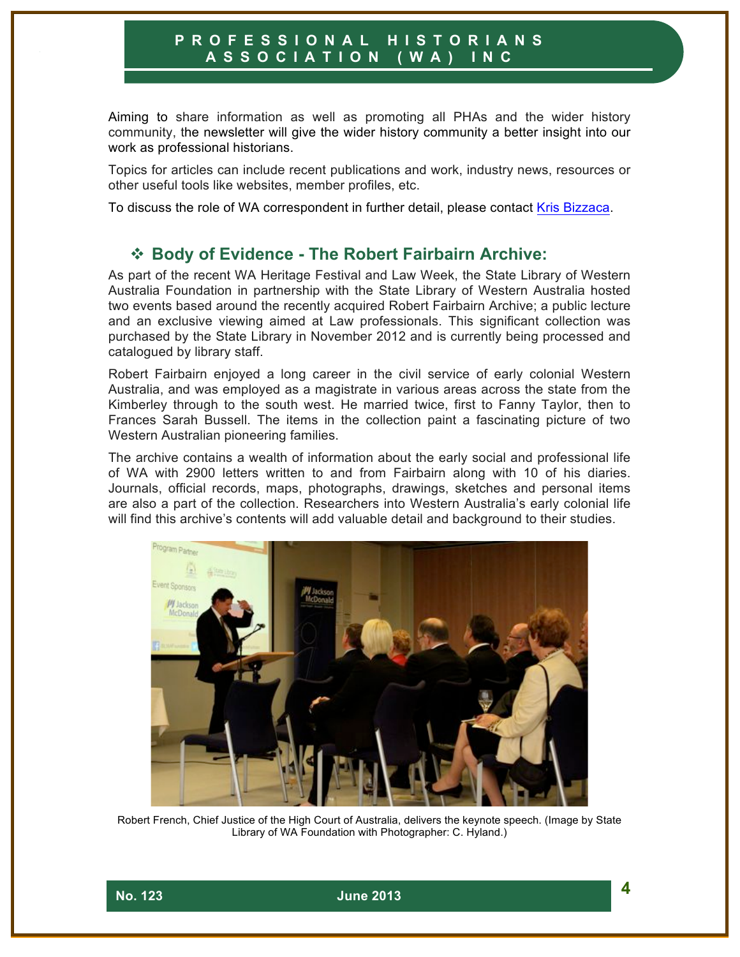Aiming to share information as well as promoting all PHAs and the wider history community, the newsletter will give the wider history community a better insight into our work as professional historians.

Topics for articles can include recent publications and work, industry news, resources or other useful tools like websites, member profiles, etc.

To discuss the role of WA correspondent in further detail, please contact Kris Bizzaca.

## ! **Body of Evidence - The Robert Fairbairn Archive:**

As part of the recent WA Heritage Festival and Law Week, the State Library of Western Australia Foundation in partnership with the State Library of Western Australia hosted two events based around the recently acquired Robert Fairbairn Archive; a public lecture and an exclusive viewing aimed at Law professionals. This significant collection was purchased by the State Library in November 2012 and is currently being processed and catalogued by library staff.

Robert Fairbairn enjoyed a long career in the civil service of early colonial Western Australia, and was employed as a magistrate in various areas across the state from the Kimberley through to the south west. He married twice, first to Fanny Taylor, then to Frances Sarah Bussell. The items in the collection paint a fascinating picture of two Western Australian pioneering families.

The archive contains a wealth of information about the early social and professional life of WA with 2900 letters written to and from Fairbairn along with 10 of his diaries. Journals, official records, maps, photographs, drawings, sketches and personal items are also a part of the collection. Researchers into Western Australia's early colonial life will find this archive's contents will add valuable detail and background to their studies.



Robert French, Chief Justice of the High Court of Australia, delivers the keynote speech. (Image by State Library of WA Foundation with Photographer: C. Hyland.)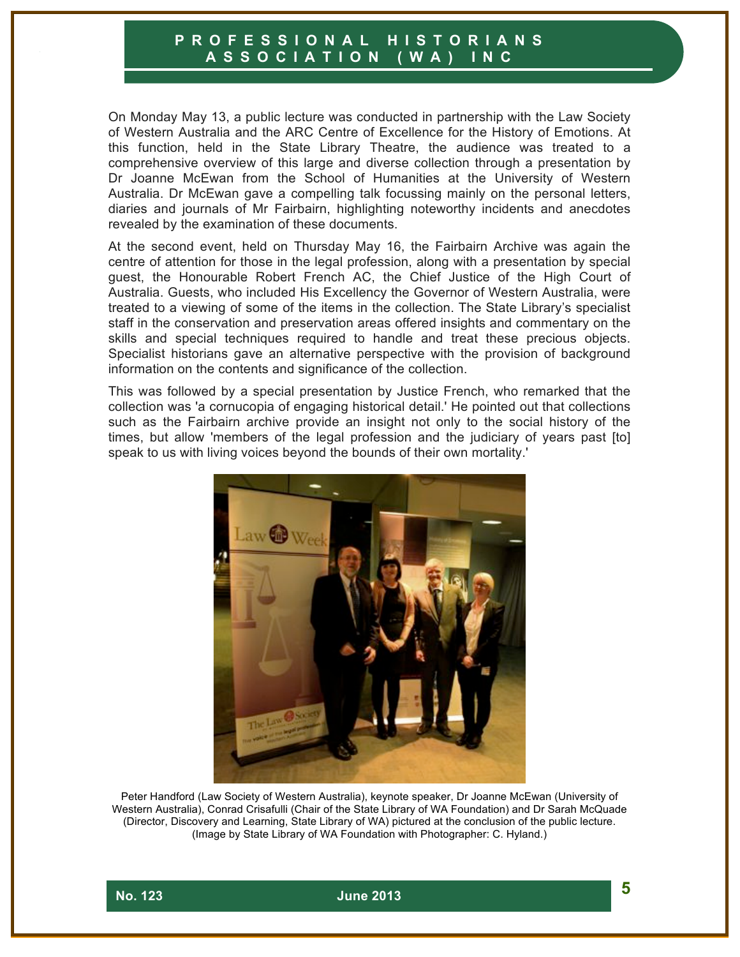On Monday May 13, a public lecture was conducted in partnership with the Law Society of Western Australia and the ARC Centre of Excellence for the History of Emotions. At this function, held in the State Library Theatre, the audience was treated to a comprehensive overview of this large and diverse collection through a presentation by Dr Joanne McEwan from the School of Humanities at the University of Western Australia. Dr McEwan gave a compelling talk focussing mainly on the personal letters, diaries and journals of Mr Fairbairn, highlighting noteworthy incidents and anecdotes revealed by the examination of these documents.

At the second event, held on Thursday May 16, the Fairbairn Archive was again the centre of attention for those in the legal profession, along with a presentation by special guest, the Honourable Robert French AC, the Chief Justice of the High Court of Australia. Guests, who included His Excellency the Governor of Western Australia, were treated to a viewing of some of the items in the collection. The State Library's specialist staff in the conservation and preservation areas offered insights and commentary on the skills and special techniques required to handle and treat these precious objects. Specialist historians gave an alternative perspective with the provision of background information on the contents and significance of the collection.

This was followed by a special presentation by Justice French, who remarked that the collection was 'a cornucopia of engaging historical detail.' He pointed out that collections such as the Fairbairn archive provide an insight not only to the social history of the times, but allow 'members of the legal profession and the judiciary of years past [to] speak to us with living voices beyond the bounds of their own mortality.'



Peter Handford (Law Society of Western Australia), keynote speaker, Dr Joanne McEwan (University of Western Australia), Conrad Crisafulli (Chair of the State Library of WA Foundation) and Dr Sarah McQuade (Director, Discovery and Learning, State Library of WA) pictured at the conclusion of the public lecture. (Image by State Library of WA Foundation with Photographer: C. Hyland.)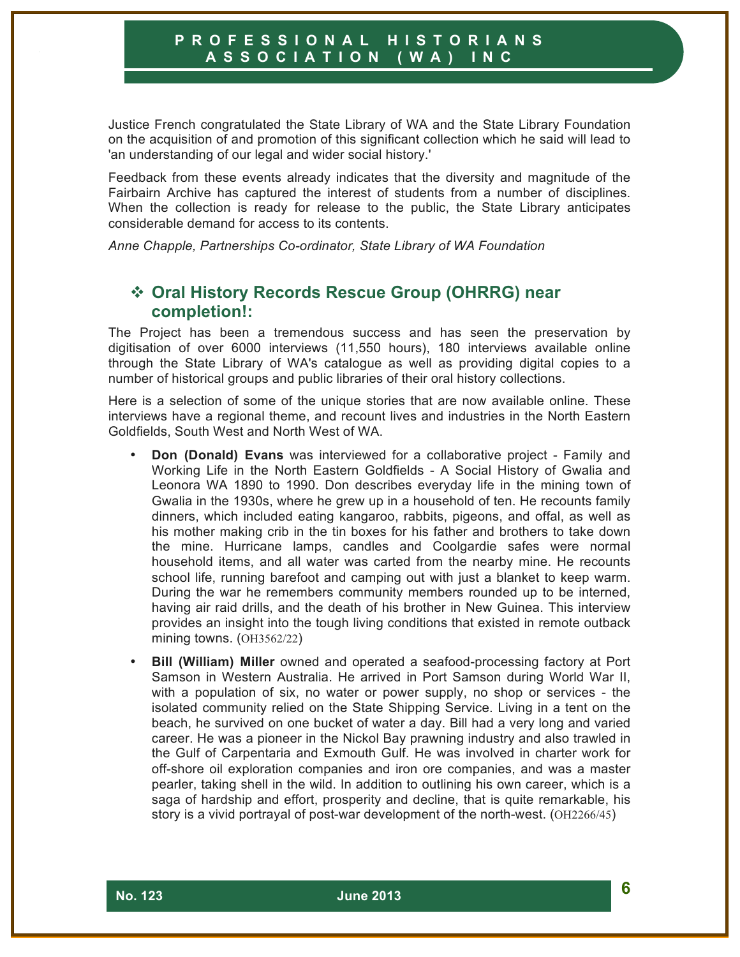Justice French congratulated the State Library of WA and the State Library Foundation on the acquisition of and promotion of this significant collection which he said will lead to 'an understanding of our legal and wider social history.'

Feedback from these events already indicates that the diversity and magnitude of the Fairbairn Archive has captured the interest of students from a number of disciplines. When the collection is ready for release to the public, the State Library anticipates considerable demand for access to its contents.

*Anne Chapple, Partnerships Co-ordinator, State Library of WA Foundation*

# ! **Oral History Records Rescue Group (OHRRG) near completion!:**

The Project has been a tremendous success and has seen the preservation by digitisation of over 6000 interviews (11,550 hours), 180 interviews available online through the State Library of WA's catalogue as well as providing digital copies to a number of historical groups and public libraries of their oral history collections.

Here is a selection of some of the unique stories that are now available online. These interviews have a regional theme, and recount lives and industries in the North Eastern Goldfields, South West and North West of WA.

- **Don (Donald) Evans** was interviewed for a collaborative project Family and Working Life in the North Eastern Goldfields - A Social History of Gwalia and Leonora WA 1890 to 1990. Don describes everyday life in the mining town of Gwalia in the 1930s, where he grew up in a household of ten. He recounts family dinners, which included eating kangaroo, rabbits, pigeons, and offal, as well as his mother making crib in the tin boxes for his father and brothers to take down the mine. Hurricane lamps, candles and Coolgardie safes were normal household items, and all water was carted from the nearby mine. He recounts school life, running barefoot and camping out with just a blanket to keep warm. During the war he remembers community members rounded up to be interned, having air raid drills, and the death of his brother in New Guinea. This interview provides an insight into the tough living conditions that existed in remote outback mining towns. (OH3562/22)
- **Bill (William) Miller** owned and operated a seafood-processing factory at Port Samson in Western Australia. He arrived in Port Samson during World War II, with a population of six, no water or power supply, no shop or services - the isolated community relied on the State Shipping Service. Living in a tent on the beach, he survived on one bucket of water a day. Bill had a very long and varied career. He was a pioneer in the Nickol Bay prawning industry and also trawled in the Gulf of Carpentaria and Exmouth Gulf. He was involved in charter work for off-shore oil exploration companies and iron ore companies, and was a master pearler, taking shell in the wild. In addition to outlining his own career, which is a saga of hardship and effort, prosperity and decline, that is quite remarkable, his story is a vivid portrayal of post-war development of the north-west. (OH2266/45)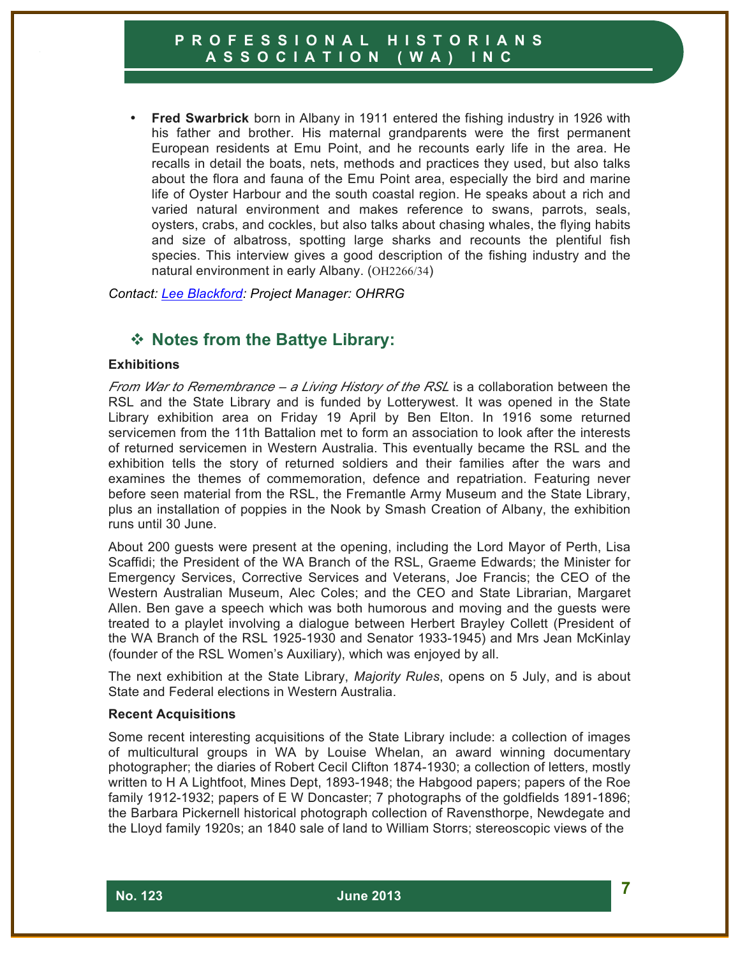• **Fred Swarbrick** born in Albany in 1911 entered the fishing industry in 1926 with his father and brother. His maternal grandparents were the first permanent European residents at Emu Point, and he recounts early life in the area. He recalls in detail the boats, nets, methods and practices they used, but also talks about the flora and fauna of the Emu Point area, especially the bird and marine life of Oyster Harbour and the south coastal region. He speaks about a rich and varied natural environment and makes reference to swans, parrots, seals, oysters, crabs, and cockles, but also talks about chasing whales, the flying habits and size of albatross, spotting large sharks and recounts the plentiful fish species. This interview gives a good description of the fishing industry and the natural environment in early Albany. (OH2266/34)

*Contact: Lee Blackford: Project Manager: OHRRG*

# ! **Notes from the Battye Library:**

#### **Exhibitions**

*From War to Remembrance – a Living History of the RSL* is a collaboration between the RSL and the State Library and is funded by Lotterywest. It was opened in the State Library exhibition area on Friday 19 April by Ben Elton. In 1916 some returned servicemen from the 11th Battalion met to form an association to look after the interests of returned servicemen in Western Australia. This eventually became the RSL and the exhibition tells the story of returned soldiers and their families after the wars and examines the themes of commemoration, defence and repatriation. Featuring never before seen material from the RSL, the Fremantle Army Museum and the State Library, plus an installation of poppies in the Nook by Smash Creation of Albany, the exhibition runs until 30 June.

About 200 guests were present at the opening, including the Lord Mayor of Perth, Lisa Scaffidi; the President of the WA Branch of the RSL, Graeme Edwards; the Minister for Emergency Services, Corrective Services and Veterans, Joe Francis; the CEO of the Western Australian Museum, Alec Coles; and the CEO and State Librarian, Margaret Allen. Ben gave a speech which was both humorous and moving and the guests were treated to a playlet involving a dialogue between Herbert Brayley Collett (President of the WA Branch of the RSL 1925-1930 and Senator 1933-1945) and Mrs Jean McKinlay (founder of the RSL Women's Auxiliary), which was enjoyed by all.

The next exhibition at the State Library, *Majority Rules*, opens on 5 July, and is about State and Federal elections in Western Australia.

#### **Recent Acquisitions**

Some recent interesting acquisitions of the State Library include: a collection of images of multicultural groups in WA by Louise Whelan, an award winning documentary photographer; the diaries of Robert Cecil Clifton 1874-1930; a collection of letters, mostly written to H A Lightfoot, Mines Dept, 1893-1948; the Habgood papers; papers of the Roe family 1912-1932; papers of E W Doncaster; 7 photographs of the goldfields 1891-1896; the Barbara Pickernell historical photograph collection of Ravensthorpe, Newdegate and the Lloyd family 1920s; an 1840 sale of land to William Storrs; stereoscopic views of the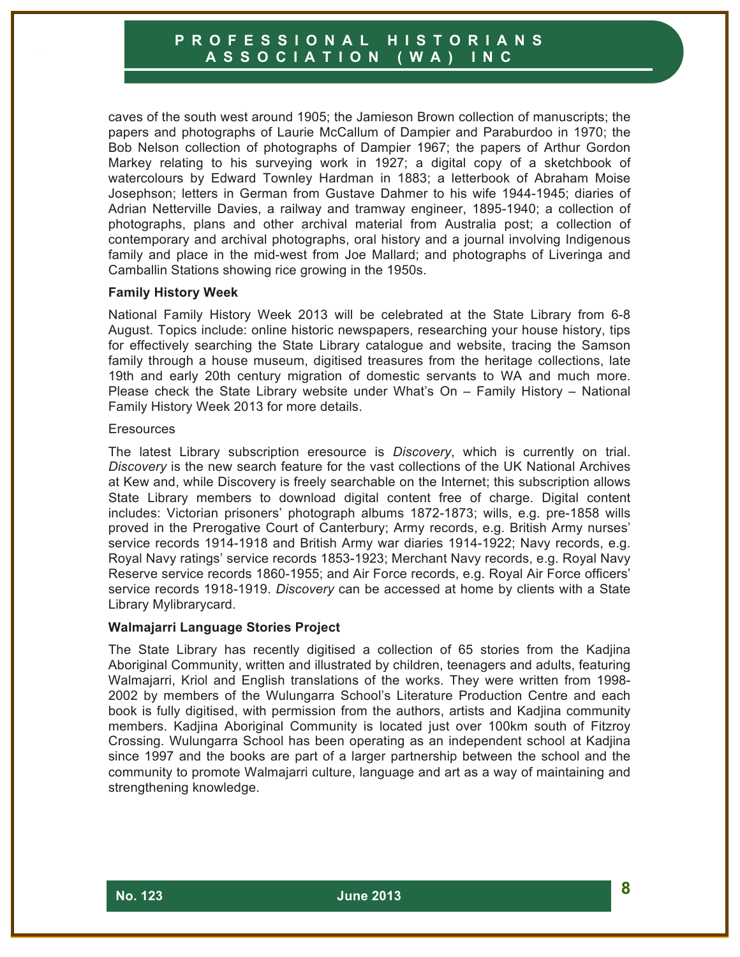caves of the south west around 1905; the Jamieson Brown collection of manuscripts; the papers and photographs of Laurie McCallum of Dampier and Paraburdoo in 1970; the Bob Nelson collection of photographs of Dampier 1967; the papers of Arthur Gordon Markey relating to his surveying work in 1927; a digital copy of a sketchbook of watercolours by Edward Townley Hardman in 1883; a letterbook of Abraham Moise Josephson; letters in German from Gustave Dahmer to his wife 1944-1945; diaries of Adrian Netterville Davies, a railway and tramway engineer, 1895-1940; a collection of photographs, plans and other archival material from Australia post; a collection of contemporary and archival photographs, oral history and a journal involving Indigenous family and place in the mid-west from Joe Mallard; and photographs of Liveringa and Camballin Stations showing rice growing in the 1950s.

#### **Family History Week**

National Family History Week 2013 will be celebrated at the State Library from 6-8 August. Topics include: online historic newspapers, researching your house history, tips for effectively searching the State Library catalogue and website, tracing the Samson family through a house museum, digitised treasures from the heritage collections, late 19th and early 20th century migration of domestic servants to WA and much more. Please check the State Library website under What's On – Family History – National Family History Week 2013 for more details.

#### **Eresources**

The latest Library subscription eresource is *Discovery*, which is currently on trial. *Discovery* is the new search feature for the vast collections of the UK National Archives at Kew and, while Discovery is freely searchable on the Internet; this subscription allows State Library members to download digital content free of charge. Digital content includes: Victorian prisoners' photograph albums 1872-1873; wills, e.g. pre-1858 wills proved in the Prerogative Court of Canterbury; Army records, e.g. British Army nurses' service records 1914-1918 and British Army war diaries 1914-1922; Navy records, e.g. Royal Navy ratings' service records 1853-1923; Merchant Navy records, e.g. Royal Navy Reserve service records 1860-1955; and Air Force records, e.g. Royal Air Force officers' service records 1918-1919. *Discovery* can be accessed at home by clients with a State Library Mylibrarycard.

#### **Walmajarri Language Stories Project**

The State Library has recently digitised a collection of 65 stories from the Kadjina Aboriginal Community, written and illustrated by children, teenagers and adults, featuring Walmajarri, Kriol and English translations of the works. They were written from 1998- 2002 by members of the Wulungarra School's Literature Production Centre and each book is fully digitised, with permission from the authors, artists and Kadjina community members. Kadjina Aboriginal Community is located just over 100km south of Fitzroy Crossing. Wulungarra School has been operating as an independent school at Kadjina since 1997 and the books are part of a larger partnership between the school and the community to promote Walmajarri culture, language and art as a way of maintaining and strengthening knowledge.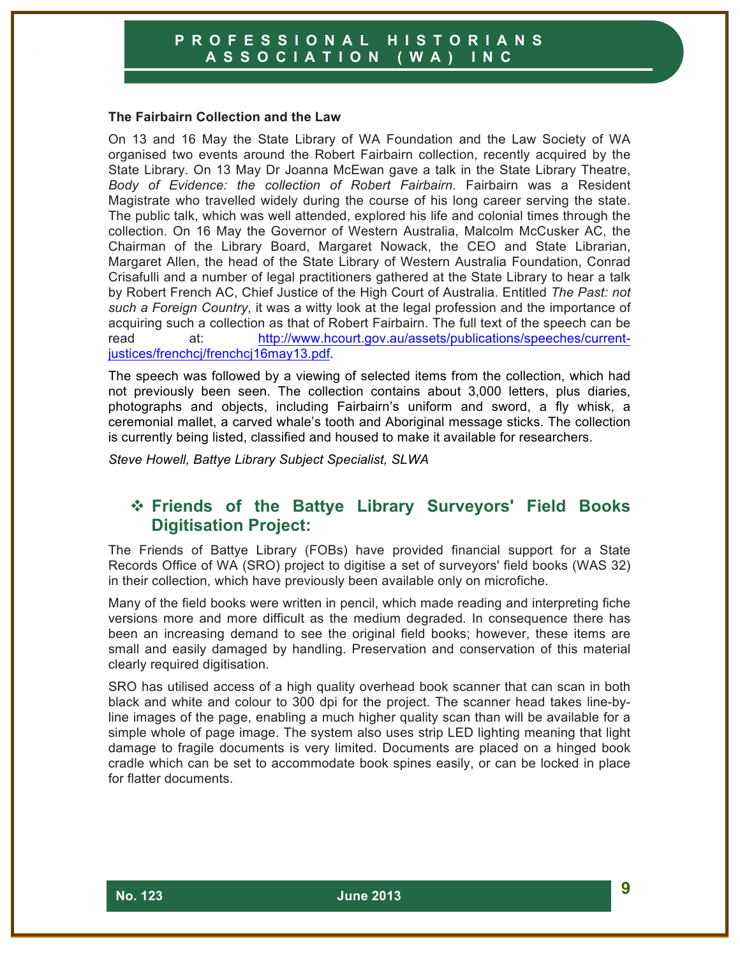#### **The Fairbairn Collection and the Law**

On 13 and 16 May the State Library of WA Foundation and the Law Society of WA organised two events around the Robert Fairbairn collection, recently acquired by the State Library. On 13 May Dr Joanna McEwan gave a talk in the State Library Theatre, *Body of Evidence: the collection of Robert Fairbairn*. Fairbairn was a Resident Magistrate who travelled widely during the course of his long career serving the state. The public talk, which was well attended, explored his life and colonial times through the collection. On 16 May the Governor of Western Australia, Malcolm McCusker AC, the Chairman of the Library Board, Margaret Nowack, the CEO and State Librarian, Margaret Allen, the head of the State Library of Western Australia Foundation, Conrad Crisafulli and a number of legal practitioners gathered at the State Library to hear a talk by Robert French AC, Chief Justice of the High Court of Australia. Entitled *The Past: not such a Foreign Country*, it was a witty look at the legal profession and the importance of acquiring such a collection as that of Robert Fairbairn. The full text of the speech can be read at: http://www.hcourt.gov.au/assets/publications/speeches/currentjustices/frenchcj/frenchcj16may13.pdf.

The speech was followed by a viewing of selected items from the collection, which had not previously been seen. The collection contains about 3,000 letters, plus diaries, photographs and objects, including Fairbairn's uniform and sword, a fly whisk, a ceremonial mallet, a carved whale's tooth and Aboriginal message sticks. The collection is currently being listed, classified and housed to make it available for researchers.

*Steve Howell, Battye Library Subject Specialist, SLWA*

## ! **Friends of the Battye Library Surveyors' Field Books Digitisation Project:**

The Friends of Battye Library (FOBs) have provided financial support for a State Records Office of WA (SRO) project to digitise a set of surveyors' field books (WAS 32) in their collection, which have previously been available only on microfiche.

Many of the field books were written in pencil, which made reading and interpreting fiche versions more and more difficult as the medium degraded. In consequence there has been an increasing demand to see the original field books; however, these items are small and easily damaged by handling. Preservation and conservation of this material clearly required digitisation.

SRO has utilised access of a high quality overhead book scanner that can scan in both black and white and colour to 300 dpi for the project. The scanner head takes line-byline images of the page, enabling a much higher quality scan than will be available for a simple whole of page image. The system also uses strip LED lighting meaning that light damage to fragile documents is very limited. Documents are placed on a hinged book cradle which can be set to accommodate book spines easily, or can be locked in place for flatter documents.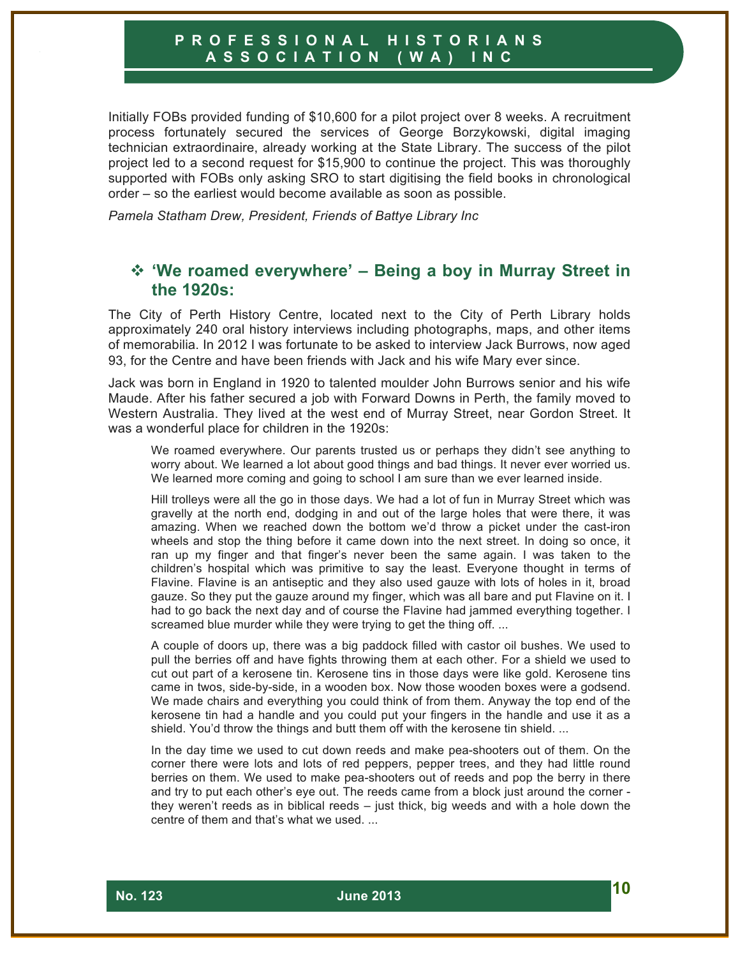Initially FOBs provided funding of \$10,600 for a pilot project over 8 weeks. A recruitment process fortunately secured the services of George Borzykowski, digital imaging technician extraordinaire, already working at the State Library. The success of the pilot project led to a second request for \$15,900 to continue the project. This was thoroughly supported with FOBs only asking SRO to start digitising the field books in chronological order – so the earliest would become available as soon as possible.

*Pamela Statham Drew, President, Friends of Battye Library Inc*

## ! **'We roamed everywhere' – Being a boy in Murray Street in the 1920s:**

The City of Perth History Centre, located next to the City of Perth Library holds approximately 240 oral history interviews including photographs, maps, and other items of memorabilia. In 2012 I was fortunate to be asked to interview Jack Burrows, now aged 93, for the Centre and have been friends with Jack and his wife Mary ever since.

Jack was born in England in 1920 to talented moulder John Burrows senior and his wife Maude. After his father secured a job with Forward Downs in Perth, the family moved to Western Australia. They lived at the west end of Murray Street, near Gordon Street. It was a wonderful place for children in the 1920s:

We roamed everywhere. Our parents trusted us or perhaps they didn't see anything to worry about. We learned a lot about good things and bad things. It never ever worried us. We learned more coming and going to school I am sure than we ever learned inside.

Hill trolleys were all the go in those days. We had a lot of fun in Murray Street which was gravelly at the north end, dodging in and out of the large holes that were there, it was amazing. When we reached down the bottom we'd throw a picket under the cast-iron wheels and stop the thing before it came down into the next street. In doing so once, it ran up my finger and that finger's never been the same again. I was taken to the children's hospital which was primitive to say the least. Everyone thought in terms of Flavine. Flavine is an antiseptic and they also used gauze with lots of holes in it, broad gauze. So they put the gauze around my finger, which was all bare and put Flavine on it. I had to go back the next day and of course the Flavine had jammed everything together. I screamed blue murder while they were trying to get the thing off. ...

A couple of doors up, there was a big paddock filled with castor oil bushes. We used to pull the berries off and have fights throwing them at each other. For a shield we used to cut out part of a kerosene tin. Kerosene tins in those days were like gold. Kerosene tins came in twos, side-by-side, in a wooden box. Now those wooden boxes were a godsend. We made chairs and everything you could think of from them. Anyway the top end of the kerosene tin had a handle and you could put your fingers in the handle and use it as a shield. You'd throw the things and butt them off with the kerosene tin shield. ...

In the day time we used to cut down reeds and make pea-shooters out of them. On the corner there were lots and lots of red peppers, pepper trees, and they had little round berries on them. We used to make pea-shooters out of reeds and pop the berry in there and try to put each other's eye out. The reeds came from a block just around the corner they weren't reeds as in biblical reeds – just thick, big weeds and with a hole down the centre of them and that's what we used. ...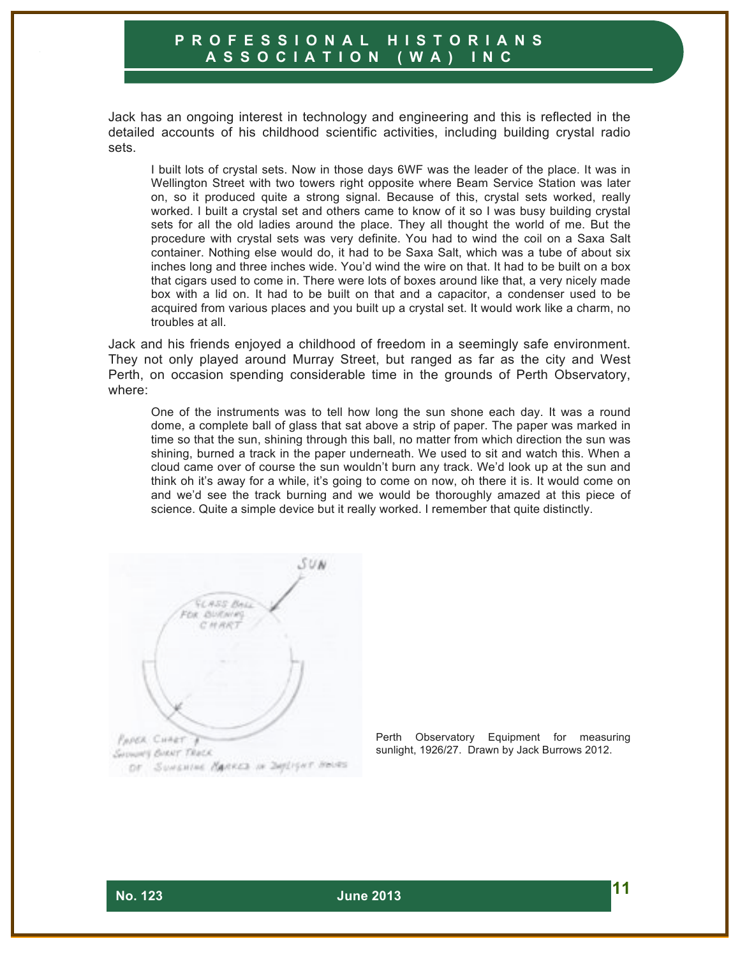Jack has an ongoing interest in technology and engineering and this is reflected in the detailed accounts of his childhood scientific activities, including building crystal radio sets.

I built lots of crystal sets. Now in those days 6WF was the leader of the place. It was in Wellington Street with two towers right opposite where Beam Service Station was later on, so it produced quite a strong signal. Because of this, crystal sets worked, really worked. I built a crystal set and others came to know of it so I was busy building crystal sets for all the old ladies around the place. They all thought the world of me. But the procedure with crystal sets was very definite. You had to wind the coil on a Saxa Salt container. Nothing else would do, it had to be Saxa Salt, which was a tube of about six inches long and three inches wide. You'd wind the wire on that. It had to be built on a box that cigars used to come in. There were lots of boxes around like that, a very nicely made box with a lid on. It had to be built on that and a capacitor, a condenser used to be acquired from various places and you built up a crystal set. It would work like a charm, no troubles at all.

Jack and his friends enjoyed a childhood of freedom in a seemingly safe environment. They not only played around Murray Street, but ranged as far as the city and West Perth, on occasion spending considerable time in the grounds of Perth Observatory, where:

One of the instruments was to tell how long the sun shone each day. It was a round dome, a complete ball of glass that sat above a strip of paper. The paper was marked in time so that the sun, shining through this ball, no matter from which direction the sun was shining, burned a track in the paper underneath. We used to sit and watch this. When a cloud came over of course the sun wouldn't burn any track. We'd look up at the sun and think oh it's away for a while, it's going to come on now, oh there it is. It would come on and we'd see the track burning and we would be thoroughly amazed at this piece of science. Quite a simple device but it really worked. I remember that quite distinctly.

SUN **GLASS Res Charl Distribution** CHAR **PAPER CHART** SHOWAY BIRNY TRACK OF SUMERIAL MARKED IN DAYLIGHT HOURS

Perth Observatory Equipment for measuring sunlight, 1926/27. Drawn by Jack Burrows 2012.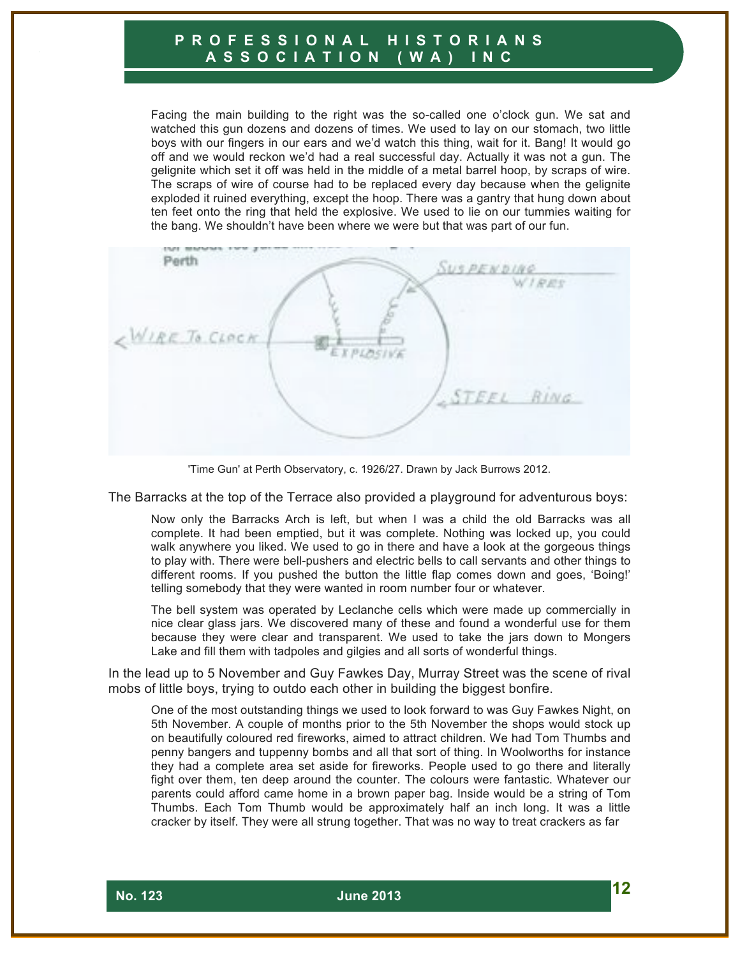Facing the main building to the right was the so-called one o'clock gun. We sat and watched this gun dozens and dozens of times. We used to lay on our stomach, two little boys with our fingers in our ears and we'd watch this thing, wait for it. Bang! It would go off and we would reckon we'd had a real successful day. Actually it was not a gun. The gelignite which set it off was held in the middle of a metal barrel hoop, by scraps of wire. The scraps of wire of course had to be replaced every day because when the gelignite exploded it ruined everything, except the hoop. There was a gantry that hung down about ten feet onto the ring that held the explosive. We used to lie on our tummies waiting for the bang. We shouldn't have been where we were but that was part of our fun.

Perth **USPENDING** WIRES NIRE TO CLOCK **XPLOSIV** STEEL RING

'Time Gun' at Perth Observatory, c. 1926/27. Drawn by Jack Burrows 2012.

The Barracks at the top of the Terrace also provided a playground for adventurous boys:

Now only the Barracks Arch is left, but when I was a child the old Barracks was all complete. It had been emptied, but it was complete. Nothing was locked up, you could walk anywhere you liked. We used to go in there and have a look at the gorgeous things to play with. There were bell-pushers and electric bells to call servants and other things to different rooms. If you pushed the button the little flap comes down and goes, 'Boing!' telling somebody that they were wanted in room number four or whatever.

The bell system was operated by Leclanche cells which were made up commercially in nice clear glass jars. We discovered many of these and found a wonderful use for them because they were clear and transparent. We used to take the jars down to Mongers Lake and fill them with tadpoles and gilgies and all sorts of wonderful things.

In the lead up to 5 November and Guy Fawkes Day, Murray Street was the scene of rival mobs of little boys, trying to outdo each other in building the biggest bonfire.

One of the most outstanding things we used to look forward to was Guy Fawkes Night, on 5th November. A couple of months prior to the 5th November the shops would stock up on beautifully coloured red fireworks, aimed to attract children. We had Tom Thumbs and penny bangers and tuppenny bombs and all that sort of thing. In Woolworths for instance they had a complete area set aside for fireworks. People used to go there and literally fight over them, ten deep around the counter. The colours were fantastic. Whatever our parents could afford came home in a brown paper bag. Inside would be a string of Tom Thumbs. Each Tom Thumb would be approximately half an inch long. It was a little cracker by itself. They were all strung together. That was no way to treat crackers as far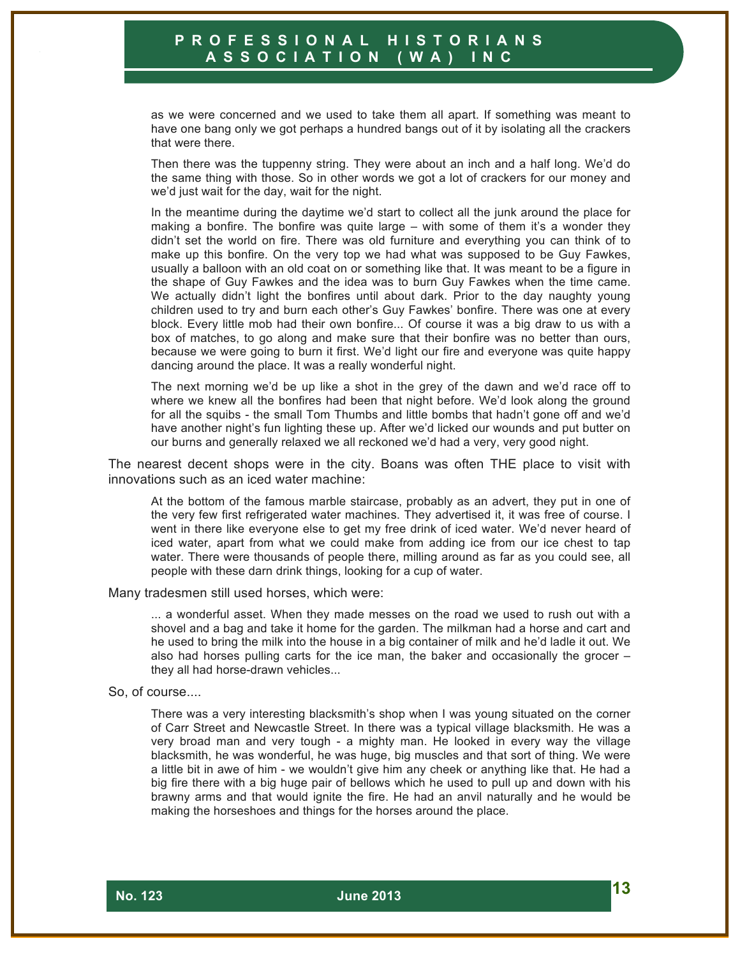as we were concerned and we used to take them all apart. If something was meant to have one bang only we got perhaps a hundred bangs out of it by isolating all the crackers that were there.

Then there was the tuppenny string. They were about an inch and a half long. We'd do the same thing with those. So in other words we got a lot of crackers for our money and we'd just wait for the day, wait for the night.

In the meantime during the daytime we'd start to collect all the junk around the place for making a bonfire. The bonfire was quite large – with some of them it's a wonder they didn't set the world on fire. There was old furniture and everything you can think of to make up this bonfire. On the very top we had what was supposed to be Guy Fawkes, usually a balloon with an old coat on or something like that. It was meant to be a figure in the shape of Guy Fawkes and the idea was to burn Guy Fawkes when the time came. We actually didn't light the bonfires until about dark. Prior to the day naughty young children used to try and burn each other's Guy Fawkes' bonfire. There was one at every block. Every little mob had their own bonfire... Of course it was a big draw to us with a box of matches, to go along and make sure that their bonfire was no better than ours, because we were going to burn it first. We'd light our fire and everyone was quite happy dancing around the place. It was a really wonderful night.

The next morning we'd be up like a shot in the grey of the dawn and we'd race off to where we knew all the bonfires had been that night before. We'd look along the ground for all the squibs - the small Tom Thumbs and little bombs that hadn't gone off and we'd have another night's fun lighting these up. After we'd licked our wounds and put butter on our burns and generally relaxed we all reckoned we'd had a very, very good night.

The nearest decent shops were in the city. Boans was often THE place to visit with innovations such as an iced water machine:

At the bottom of the famous marble staircase, probably as an advert, they put in one of the very few first refrigerated water machines. They advertised it, it was free of course. I went in there like everyone else to get my free drink of iced water. We'd never heard of iced water, apart from what we could make from adding ice from our ice chest to tap water. There were thousands of people there, milling around as far as you could see, all people with these darn drink things, looking for a cup of water.

Many tradesmen still used horses, which were:

... a wonderful asset. When they made messes on the road we used to rush out with a shovel and a bag and take it home for the garden. The milkman had a horse and cart and he used to bring the milk into the house in a big container of milk and he'd ladle it out. We also had horses pulling carts for the ice man, the baker and occasionally the grocer – they all had horse-drawn vehicles...

#### So, of course....

There was a very interesting blacksmith's shop when I was young situated on the corner of Carr Street and Newcastle Street. In there was a typical village blacksmith. He was a very broad man and very tough - a mighty man. He looked in every way the village blacksmith, he was wonderful, he was huge, big muscles and that sort of thing. We were a little bit in awe of him - we wouldn't give him any cheek or anything like that. He had a big fire there with a big huge pair of bellows which he used to pull up and down with his brawny arms and that would ignite the fire. He had an anvil naturally and he would be making the horseshoes and things for the horses around the place.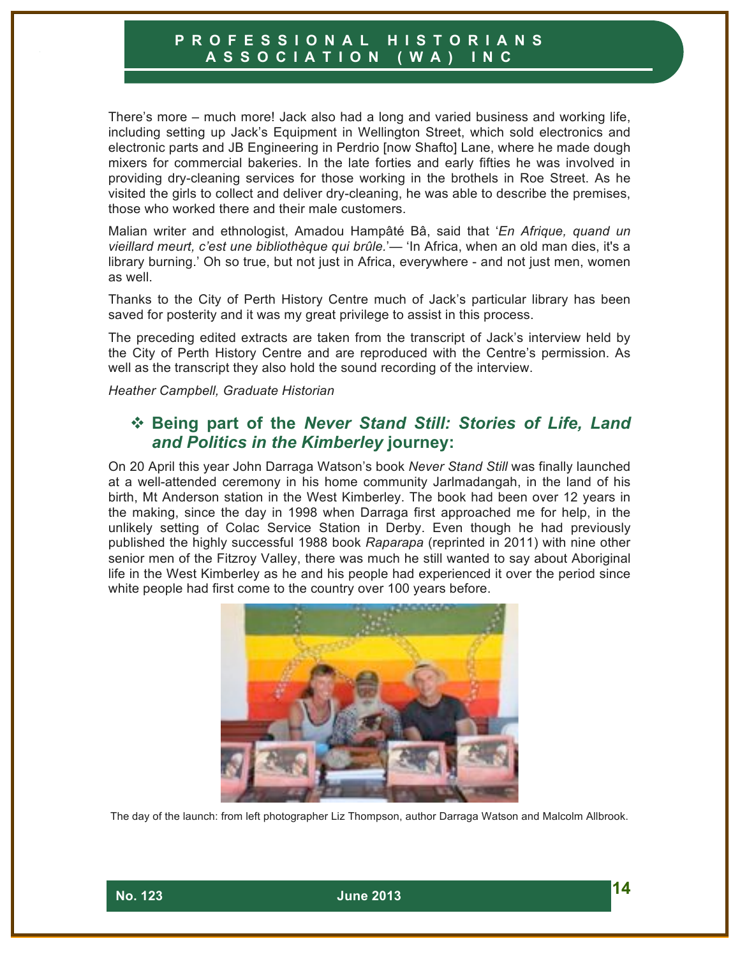There's more – much more! Jack also had a long and varied business and working life, including setting up Jack's Equipment in Wellington Street, which sold electronics and electronic parts and JB Engineering in Perdrio [now Shafto] Lane, where he made dough mixers for commercial bakeries. In the late forties and early fifties he was involved in providing dry-cleaning services for those working in the brothels in Roe Street. As he visited the girls to collect and deliver dry-cleaning, he was able to describe the premises, those who worked there and their male customers.

Malian writer and ethnologist, Amadou Hampâté Bâ, said that '*En Afrique, quand un vieillard meurt, c'est une bibliothèque qui brûle.*'— 'In Africa, when an old man dies, it's a library burning.' Oh so true, but not just in Africa, everywhere - and not just men, women as well.

Thanks to the City of Perth History Centre much of Jack's particular library has been saved for posterity and it was my great privilege to assist in this process.

The preceding edited extracts are taken from the transcript of Jack's interview held by the City of Perth History Centre and are reproduced with the Centre's permission. As well as the transcript they also hold the sound recording of the interview.

*Heather Campbell, Graduate Historian*

## ! **Being part of the** *Never Stand Still: Stories of Life, Land and Politics in the Kimberley* **journey:**

On 20 April this year John Darraga Watson's book *Never Stand Still* was finally launched at a well-attended ceremony in his home community Jarlmadangah, in the land of his birth, Mt Anderson station in the West Kimberley. The book had been over 12 years in the making, since the day in 1998 when Darraga first approached me for help, in the unlikely setting of Colac Service Station in Derby. Even though he had previously published the highly successful 1988 book *Raparapa* (reprinted in 2011) with nine other senior men of the Fitzroy Valley, there was much he still wanted to say about Aboriginal life in the West Kimberley as he and his people had experienced it over the period since white people had first come to the country over 100 years before.



The day of the launch: from left photographer Liz Thompson, author Darraga Watson and Malcolm Allbrook.

 **No. 123 June 2013 14**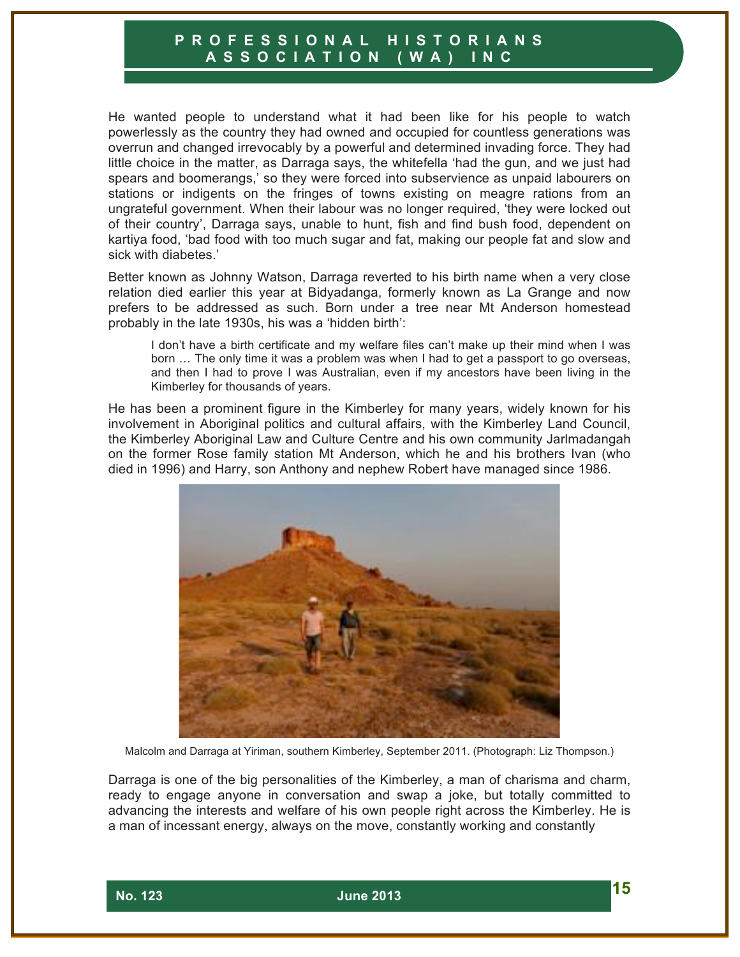He wanted people to understand what it had been like for his people to watch powerlessly as the country they had owned and occupied for countless generations was overrun and changed irrevocably by a powerful and determined invading force. They had little choice in the matter, as Darraga says, the whitefella 'had the gun, and we just had spears and boomerangs,' so they were forced into subservience as unpaid labourers on stations or indigents on the fringes of towns existing on meagre rations from an ungrateful government. When their labour was no longer required, 'they were locked out of their country', Darraga says, unable to hunt, fish and find bush food, dependent on kartiya food, 'bad food with too much sugar and fat, making our people fat and slow and sick with diabetes.'

Better known as Johnny Watson, Darraga reverted to his birth name when a very close relation died earlier this year at Bidyadanga, formerly known as La Grange and now prefers to be addressed as such. Born under a tree near Mt Anderson homestead probably in the late 1930s, his was a 'hidden birth':

I don't have a birth certificate and my welfare files can't make up their mind when I was born ... The only time it was a problem was when I had to get a passport to go overseas, and then I had to prove I was Australian, even if my ancestors have been living in the Kimberley for thousands of years.

He has been a prominent figure in the Kimberley for many years, widely known for his involvement in Aboriginal politics and cultural affairs, with the Kimberley Land Council, the Kimberley Aboriginal Law and Culture Centre and his own community Jarlmadangah on the former Rose family station Mt Anderson, which he and his brothers Ivan (who died in 1996) and Harry, son Anthony and nephew Robert have managed since 1986.



Malcolm and Darraga at Yiriman, southern Kimberley, September 2011. (Photograph: Liz Thompson.)

Darraga is one of the big personalities of the Kimberley, a man of charisma and charm, ready to engage anyone in conversation and swap a joke, but totally committed to advancing the interests and welfare of his own people right across the Kimberley. He is a man of incessant energy, always on the move, constantly working and constantly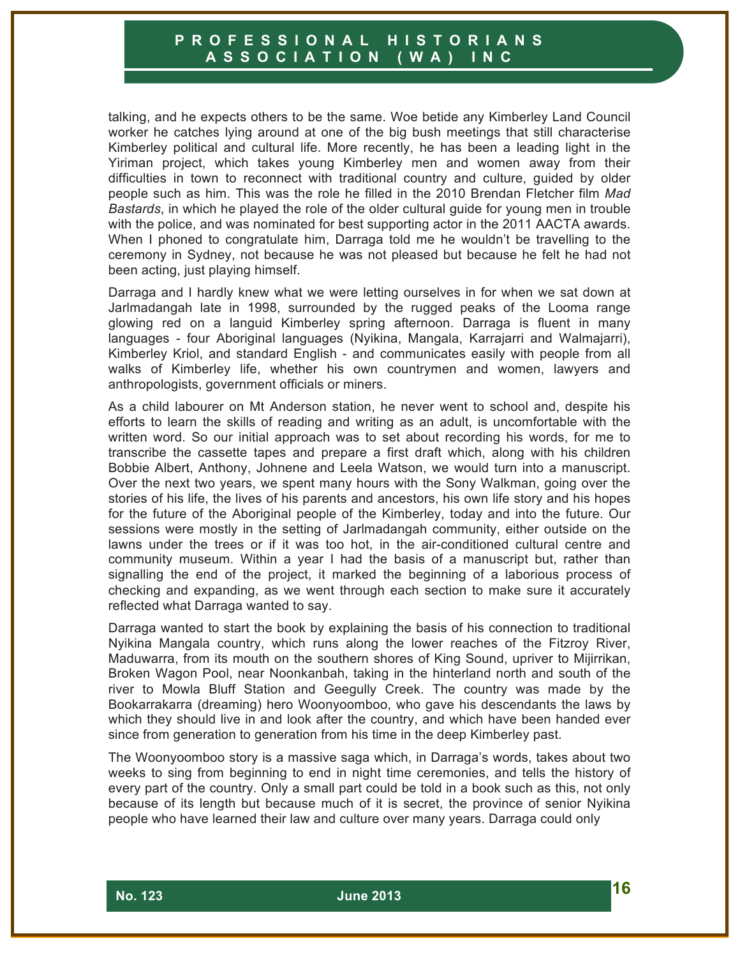talking, and he expects others to be the same. Woe betide any Kimberley Land Council worker he catches lying around at one of the big bush meetings that still characterise Kimberley political and cultural life. More recently, he has been a leading light in the Yiriman project, which takes young Kimberley men and women away from their difficulties in town to reconnect with traditional country and culture, guided by older people such as him. This was the role he filled in the 2010 Brendan Fletcher film *Mad Bastards*, in which he played the role of the older cultural guide for young men in trouble with the police, and was nominated for best supporting actor in the 2011 AACTA awards. When I phoned to congratulate him, Darraga told me he wouldn't be travelling to the ceremony in Sydney, not because he was not pleased but because he felt he had not been acting, just playing himself.

Darraga and I hardly knew what we were letting ourselves in for when we sat down at Jarlmadangah late in 1998, surrounded by the rugged peaks of the Looma range glowing red on a languid Kimberley spring afternoon. Darraga is fluent in many languages - four Aboriginal languages (Nyikina, Mangala, Karrajarri and Walmajarri), Kimberley Kriol, and standard English - and communicates easily with people from all walks of Kimberley life, whether his own countrymen and women, lawyers and anthropologists, government officials or miners.

As a child labourer on Mt Anderson station, he never went to school and, despite his efforts to learn the skills of reading and writing as an adult, is uncomfortable with the written word. So our initial approach was to set about recording his words, for me to transcribe the cassette tapes and prepare a first draft which, along with his children Bobbie Albert, Anthony, Johnene and Leela Watson, we would turn into a manuscript. Over the next two years, we spent many hours with the Sony Walkman, going over the stories of his life, the lives of his parents and ancestors, his own life story and his hopes for the future of the Aboriginal people of the Kimberley, today and into the future. Our sessions were mostly in the setting of Jarlmadangah community, either outside on the lawns under the trees or if it was too hot, in the air-conditioned cultural centre and community museum. Within a year I had the basis of a manuscript but, rather than signalling the end of the project, it marked the beginning of a laborious process of checking and expanding, as we went through each section to make sure it accurately reflected what Darraga wanted to say.

Darraga wanted to start the book by explaining the basis of his connection to traditional Nyikina Mangala country, which runs along the lower reaches of the Fitzroy River, Maduwarra, from its mouth on the southern shores of King Sound, upriver to Mijirrikan, Broken Wagon Pool, near Noonkanbah, taking in the hinterland north and south of the river to Mowla Bluff Station and Geegully Creek. The country was made by the Bookarrakarra (dreaming) hero Woonyoomboo, who gave his descendants the laws by which they should live in and look after the country, and which have been handed ever since from generation to generation from his time in the deep Kimberley past.

The Woonyoomboo story is a massive saga which, in Darraga's words, takes about two weeks to sing from beginning to end in night time ceremonies, and tells the history of every part of the country. Only a small part could be told in a book such as this, not only because of its length but because much of it is secret, the province of senior Nyikina people who have learned their law and culture over many years. Darraga could only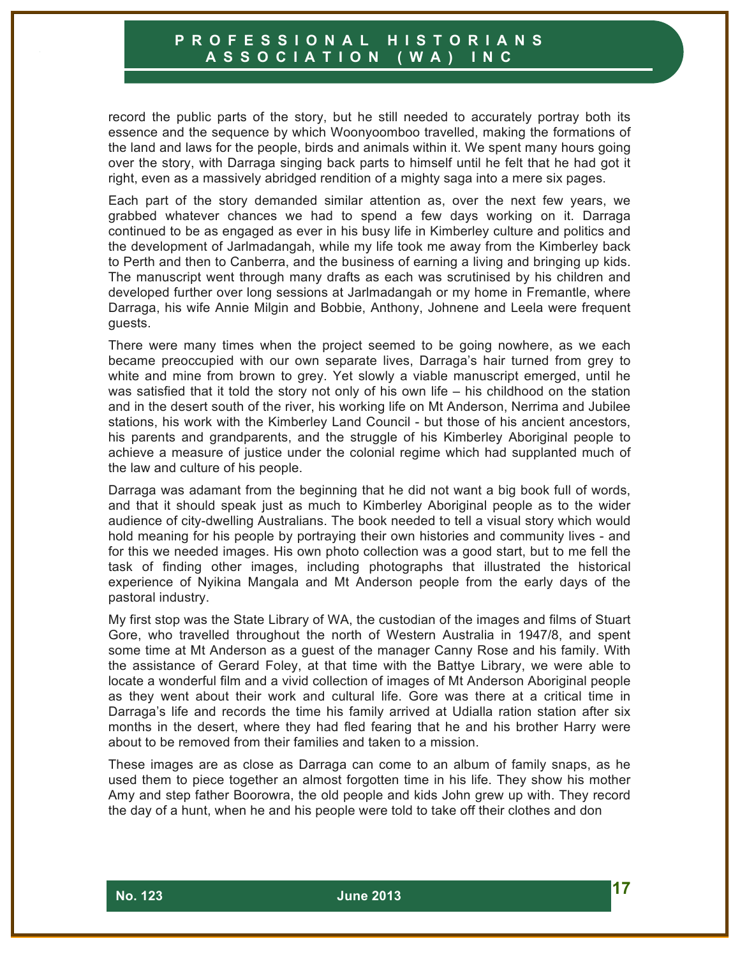record the public parts of the story, but he still needed to accurately portray both its essence and the sequence by which Woonyoomboo travelled, making the formations of the land and laws for the people, birds and animals within it. We spent many hours going over the story, with Darraga singing back parts to himself until he felt that he had got it right, even as a massively abridged rendition of a mighty saga into a mere six pages.

Each part of the story demanded similar attention as, over the next few years, we grabbed whatever chances we had to spend a few days working on it. Darraga continued to be as engaged as ever in his busy life in Kimberley culture and politics and the development of Jarlmadangah, while my life took me away from the Kimberley back to Perth and then to Canberra, and the business of earning a living and bringing up kids. The manuscript went through many drafts as each was scrutinised by his children and developed further over long sessions at Jarlmadangah or my home in Fremantle, where Darraga, his wife Annie Milgin and Bobbie, Anthony, Johnene and Leela were frequent guests.

There were many times when the project seemed to be going nowhere, as we each became preoccupied with our own separate lives, Darraga's hair turned from grey to white and mine from brown to grey. Yet slowly a viable manuscript emerged, until he was satisfied that it told the story not only of his own life – his childhood on the station and in the desert south of the river, his working life on Mt Anderson, Nerrima and Jubilee stations, his work with the Kimberley Land Council - but those of his ancient ancestors, his parents and grandparents, and the struggle of his Kimberley Aboriginal people to achieve a measure of justice under the colonial regime which had supplanted much of the law and culture of his people.

Darraga was adamant from the beginning that he did not want a big book full of words, and that it should speak just as much to Kimberley Aboriginal people as to the wider audience of city-dwelling Australians. The book needed to tell a visual story which would hold meaning for his people by portraying their own histories and community lives - and for this we needed images. His own photo collection was a good start, but to me fell the task of finding other images, including photographs that illustrated the historical experience of Nyikina Mangala and Mt Anderson people from the early days of the pastoral industry.

My first stop was the State Library of WA, the custodian of the images and films of Stuart Gore, who travelled throughout the north of Western Australia in 1947/8, and spent some time at Mt Anderson as a guest of the manager Canny Rose and his family. With the assistance of Gerard Foley, at that time with the Battye Library, we were able to locate a wonderful film and a vivid collection of images of Mt Anderson Aboriginal people as they went about their work and cultural life. Gore was there at a critical time in Darraga's life and records the time his family arrived at Udialla ration station after six months in the desert, where they had fled fearing that he and his brother Harry were about to be removed from their families and taken to a mission.

These images are as close as Darraga can come to an album of family snaps, as he used them to piece together an almost forgotten time in his life. They show his mother Amy and step father Boorowra, the old people and kids John grew up with. They record the day of a hunt, when he and his people were told to take off their clothes and don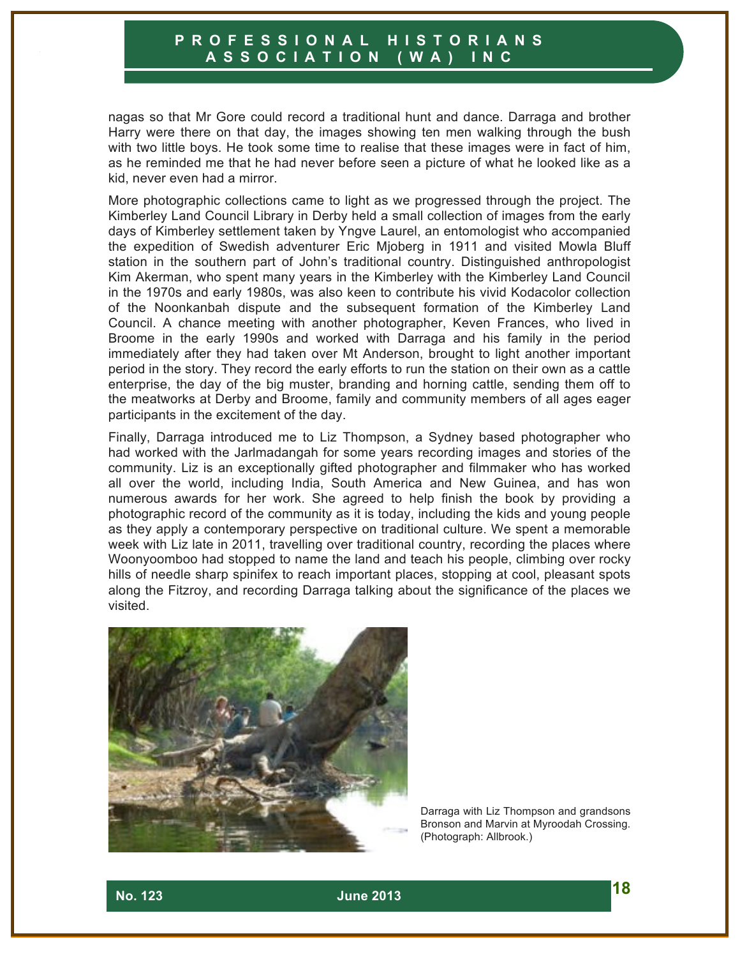nagas so that Mr Gore could record a traditional hunt and dance. Darraga and brother Harry were there on that day, the images showing ten men walking through the bush with two little boys. He took some time to realise that these images were in fact of him, as he reminded me that he had never before seen a picture of what he looked like as a kid, never even had a mirror.

More photographic collections came to light as we progressed through the project. The Kimberley Land Council Library in Derby held a small collection of images from the early days of Kimberley settlement taken by Yngve Laurel, an entomologist who accompanied the expedition of Swedish adventurer Eric Mjoberg in 1911 and visited Mowla Bluff station in the southern part of John's traditional country. Distinguished anthropologist Kim Akerman, who spent many years in the Kimberley with the Kimberley Land Council in the 1970s and early 1980s, was also keen to contribute his vivid Kodacolor collection of the Noonkanbah dispute and the subsequent formation of the Kimberley Land Council. A chance meeting with another photographer, Keven Frances, who lived in Broome in the early 1990s and worked with Darraga and his family in the period immediately after they had taken over Mt Anderson, brought to light another important period in the story. They record the early efforts to run the station on their own as a cattle enterprise, the day of the big muster, branding and horning cattle, sending them off to the meatworks at Derby and Broome, family and community members of all ages eager participants in the excitement of the day.

Finally, Darraga introduced me to Liz Thompson, a Sydney based photographer who had worked with the Jarlmadangah for some years recording images and stories of the community. Liz is an exceptionally gifted photographer and filmmaker who has worked all over the world, including India, South America and New Guinea, and has won numerous awards for her work. She agreed to help finish the book by providing a photographic record of the community as it is today, including the kids and young people as they apply a contemporary perspective on traditional culture. We spent a memorable week with Liz late in 2011, travelling over traditional country, recording the places where Woonyoomboo had stopped to name the land and teach his people, climbing over rocky hills of needle sharp spinifex to reach important places, stopping at cool, pleasant spots along the Fitzroy, and recording Darraga talking about the significance of the places we visited.



Darraga with Liz Thompson and grandsons Bronson and Marvin at Myroodah Crossing. (Photograph: Allbrook.)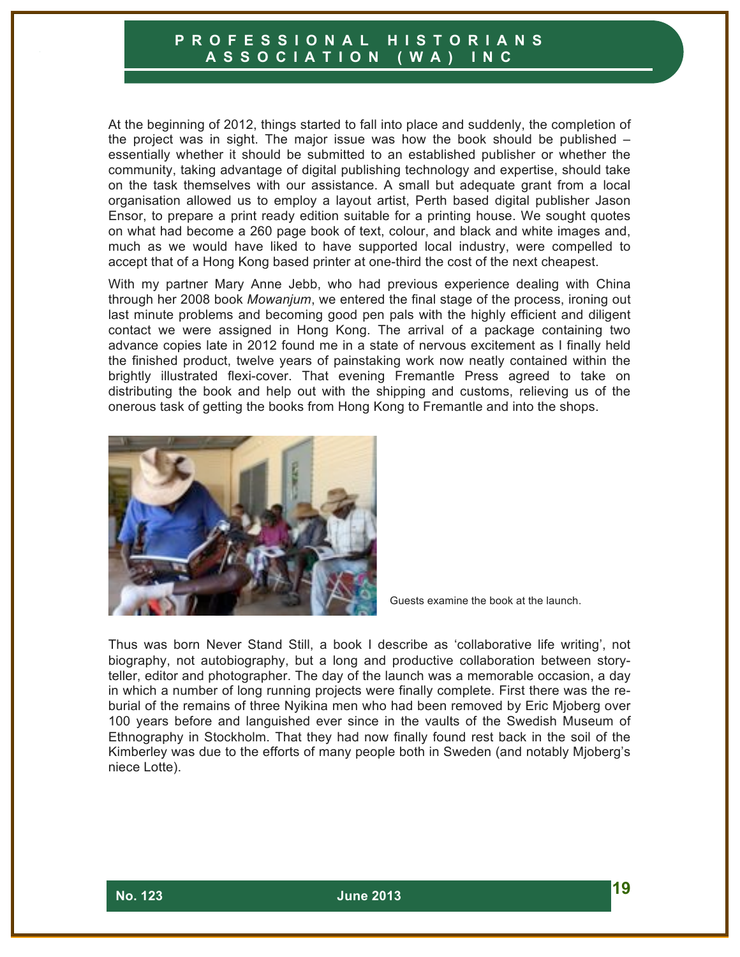At the beginning of 2012, things started to fall into place and suddenly, the completion of the project was in sight. The major issue was how the book should be published  $$ essentially whether it should be submitted to an established publisher or whether the community, taking advantage of digital publishing technology and expertise, should take on the task themselves with our assistance. A small but adequate grant from a local organisation allowed us to employ a layout artist, Perth based digital publisher Jason Ensor, to prepare a print ready edition suitable for a printing house. We sought quotes on what had become a 260 page book of text, colour, and black and white images and, much as we would have liked to have supported local industry, were compelled to accept that of a Hong Kong based printer at one-third the cost of the next cheapest.

With my partner Mary Anne Jebb, who had previous experience dealing with China through her 2008 book *Mowanjum*, we entered the final stage of the process, ironing out last minute problems and becoming good pen pals with the highly efficient and diligent contact we were assigned in Hong Kong. The arrival of a package containing two advance copies late in 2012 found me in a state of nervous excitement as I finally held the finished product, twelve years of painstaking work now neatly contained within the brightly illustrated flexi-cover. That evening Fremantle Press agreed to take on distributing the book and help out with the shipping and customs, relieving us of the onerous task of getting the books from Hong Kong to Fremantle and into the shops.



Guests examine the book at the launch.

Thus was born Never Stand Still, a book I describe as 'collaborative life writing', not biography, not autobiography, but a long and productive collaboration between storyteller, editor and photographer. The day of the launch was a memorable occasion, a day in which a number of long running projects were finally complete. First there was the reburial of the remains of three Nyikina men who had been removed by Eric Mjoberg over 100 years before and languished ever since in the vaults of the Swedish Museum of Ethnography in Stockholm. That they had now finally found rest back in the soil of the Kimberley was due to the efforts of many people both in Sweden (and notably Mjoberg's niece Lotte).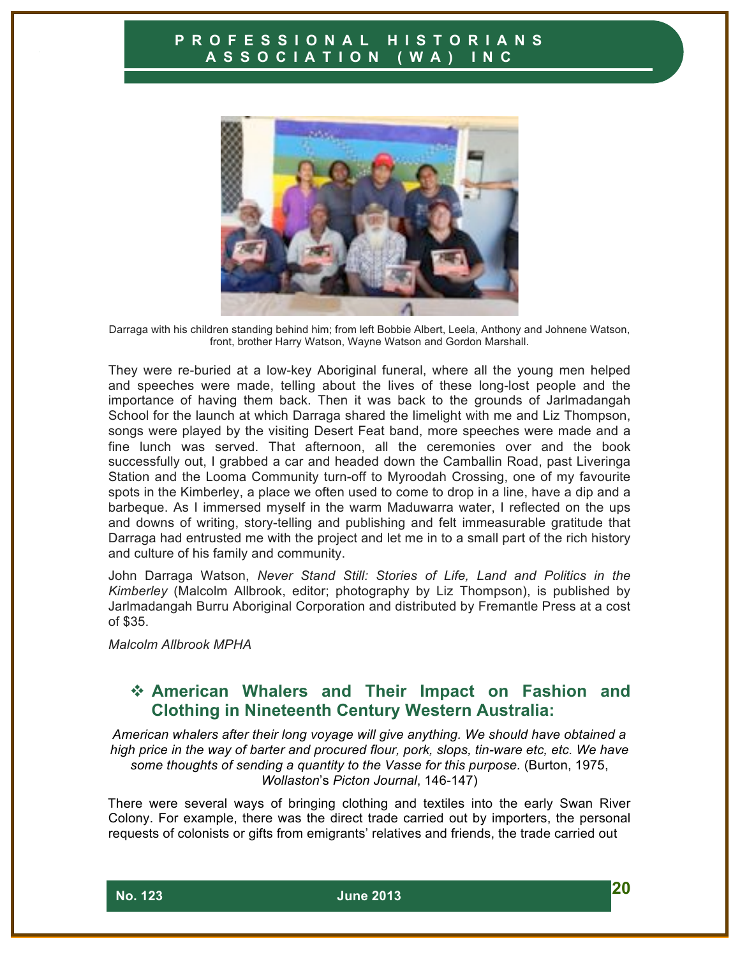

Darraga with his children standing behind him; from left Bobbie Albert, Leela, Anthony and Johnene Watson, front, brother Harry Watson, Wayne Watson and Gordon Marshall.

They were re-buried at a low-key Aboriginal funeral, where all the young men helped and speeches were made, telling about the lives of these long-lost people and the importance of having them back. Then it was back to the grounds of Jarlmadangah School for the launch at which Darraga shared the limelight with me and Liz Thompson, songs were played by the visiting Desert Feat band, more speeches were made and a fine lunch was served. That afternoon, all the ceremonies over and the book successfully out, I grabbed a car and headed down the Camballin Road, past Liveringa Station and the Looma Community turn-off to Myroodah Crossing, one of my favourite spots in the Kimberley, a place we often used to come to drop in a line, have a dip and a barbeque. As I immersed myself in the warm Maduwarra water, I reflected on the ups and downs of writing, story-telling and publishing and felt immeasurable gratitude that Darraga had entrusted me with the project and let me in to a small part of the rich history and culture of his family and community.

John Darraga Watson, *Never Stand Still: Stories of Life, Land and Politics in the Kimberley* (Malcolm Allbrook, editor; photography by Liz Thompson), is published by Jarlmadangah Burru Aboriginal Corporation and distributed by Fremantle Press at a cost of \$35.

*Malcolm Allbrook MPHA*

# ! **American Whalers and Their Impact on Fashion and Clothing in Nineteenth Century Western Australia:**

*American whalers after their long voyage will give anything. We should have obtained a high price in the way of barter and procured flour, pork, slops, tin-ware etc, etc. We have some thoughts of sending a quantity to the Vasse for this purpose.* (Burton, 1975, *Wollaston*'s *Picton Journal*, 146-147)

There were several ways of bringing clothing and textiles into the early Swan River Colony. For example, there was the direct trade carried out by importers, the personal requests of colonists or gifts from emigrants' relatives and friends, the trade carried out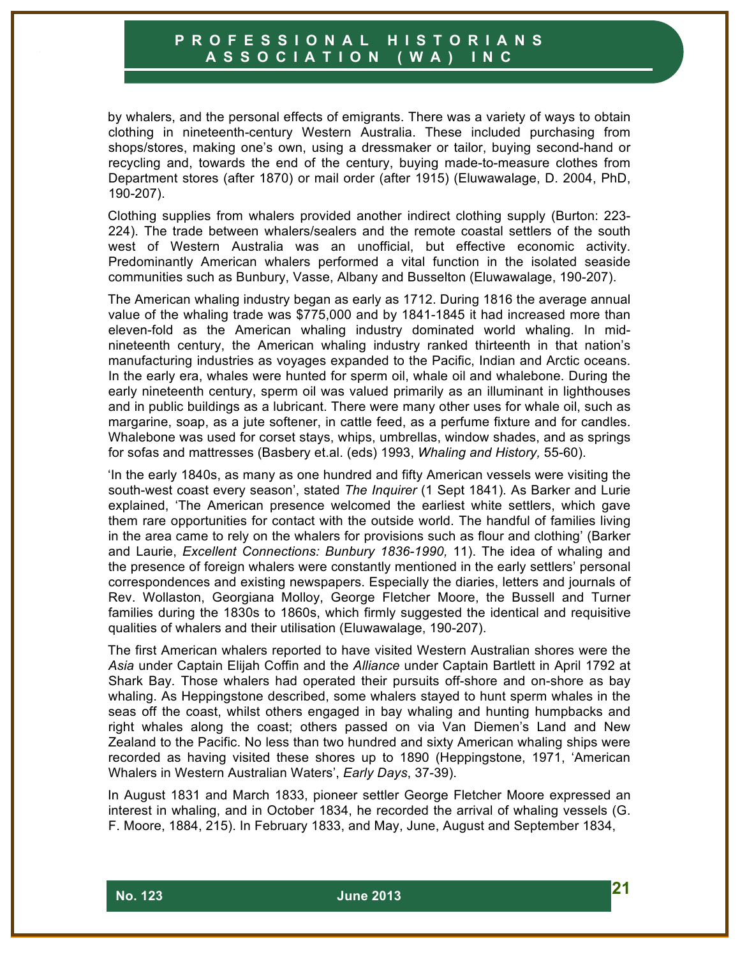by whalers, and the personal effects of emigrants. There was a variety of ways to obtain clothing in nineteenth-century Western Australia. These included purchasing from shops/stores, making one's own, using a dressmaker or tailor, buying second-hand or recycling and, towards the end of the century, buying made-to-measure clothes from Department stores (after 1870) or mail order (after 1915) (Eluwawalage, D. 2004, PhD, 190-207).

Clothing supplies from whalers provided another indirect clothing supply (Burton: 223- 224). The trade between whalers/sealers and the remote coastal settlers of the south west of Western Australia was an unofficial, but effective economic activity. Predominantly American whalers performed a vital function in the isolated seaside communities such as Bunbury, Vasse, Albany and Busselton (Eluwawalage, 190-207).

The American whaling industry began as early as 1712. During 1816 the average annual value of the whaling trade was \$775,000 and by 1841-1845 it had increased more than eleven-fold as the American whaling industry dominated world whaling. In midnineteenth century, the American whaling industry ranked thirteenth in that nation's manufacturing industries as voyages expanded to the Pacific, Indian and Arctic oceans. In the early era, whales were hunted for sperm oil, whale oil and whalebone. During the early nineteenth century, sperm oil was valued primarily as an illuminant in lighthouses and in public buildings as a lubricant. There were many other uses for whale oil, such as margarine, soap, as a jute softener, in cattle feed, as a perfume fixture and for candles. Whalebone was used for corset stays, whips, umbrellas, window shades, and as springs for sofas and mattresses (Basbery et.al. (eds) 1993, *Whaling and History,* 55-60).

'In the early 1840s, as many as one hundred and fifty American vessels were visiting the south-west coast every season', stated *The Inquirer* (1 Sept 1841)*.* As Barker and Lurie explained, 'The American presence welcomed the earliest white settlers, which gave them rare opportunities for contact with the outside world. The handful of families living in the area came to rely on the whalers for provisions such as flour and clothing' (Barker and Laurie, *Excellent Connections: Bunbury 1836-1990,* 11). The idea of whaling and the presence of foreign whalers were constantly mentioned in the early settlers' personal correspondences and existing newspapers. Especially the diaries, letters and journals of Rev. Wollaston, Georgiana Molloy, George Fletcher Moore, the Bussell and Turner families during the 1830s to 1860s, which firmly suggested the identical and requisitive qualities of whalers and their utilisation (Eluwawalage, 190-207).

The first American whalers reported to have visited Western Australian shores were the *Asia* under Captain Elijah Coffin and the *Alliance* under Captain Bartlett in April 1792 at Shark Bay*.* Those whalers had operated their pursuits off-shore and on-shore as bay whaling. As Heppingstone described, some whalers stayed to hunt sperm whales in the seas off the coast, whilst others engaged in bay whaling and hunting humpbacks and right whales along the coast; others passed on via Van Diemen's Land and New Zealand to the Pacific. No less than two hundred and sixty American whaling ships were recorded as having visited these shores up to 1890 (Heppingstone, 1971, 'American Whalers in Western Australian Waters', *Early Days*, 37-39).

In August 1831 and March 1833, pioneer settler George Fletcher Moore expressed an interest in whaling, and in October 1834, he recorded the arrival of whaling vessels (G. F. Moore, 1884, 215). In February 1833, and May, June, August and September 1834,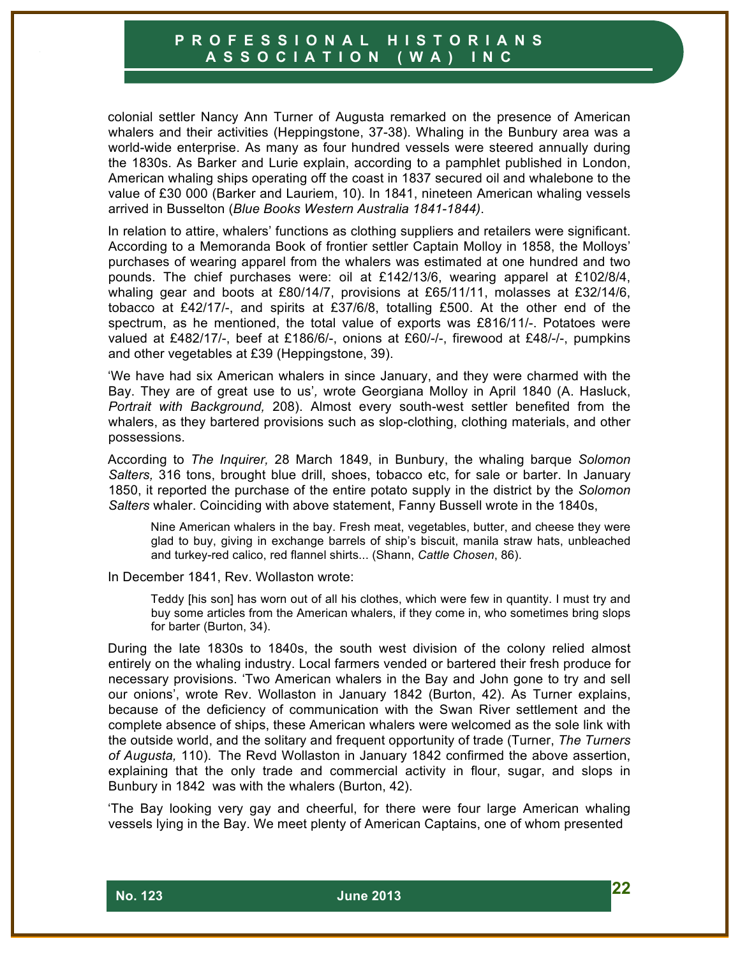colonial settler Nancy Ann Turner of Augusta remarked on the presence of American whalers and their activities (Heppingstone, 37-38). Whaling in the Bunbury area was a world-wide enterprise. As many as four hundred vessels were steered annually during the 1830s. As Barker and Lurie explain, according to a pamphlet published in London, American whaling ships operating off the coast in 1837 secured oil and whalebone to the value of £30 000 (Barker and Lauriem, 10). In 1841, nineteen American whaling vessels arrived in Busselton (*Blue Books Western Australia 1841-1844)*.

In relation to attire, whalers' functions as clothing suppliers and retailers were significant. According to a Memoranda Book of frontier settler Captain Molloy in 1858, the Molloys' purchases of wearing apparel from the whalers was estimated at one hundred and two pounds. The chief purchases were: oil at £142/13/6, wearing apparel at £102/8/4, whaling gear and boots at £80/14/7, provisions at £65/11/11, molasses at £32/14/6, tobacco at £42/17/-, and spirits at £37/6/8, totalling £500. At the other end of the spectrum, as he mentioned, the total value of exports was £816/11/-. Potatoes were valued at £482/17/-, beef at £186/6/-, onions at £60/-/-, firewood at £48/-/-, pumpkins and other vegetables at £39 (Heppingstone, 39).

'We have had six American whalers in since January, and they were charmed with the Bay. They are of great use to us'*,* wrote Georgiana Molloy in April 1840 (A. Hasluck, *Portrait with Background,* 208). Almost every south-west settler benefited from the whalers, as they bartered provisions such as slop-clothing, clothing materials, and other possessions.

According to *The Inquirer,* 28 March 1849, in Bunbury, the whaling barque *Solomon Salters,* 316 tons, brought blue drill, shoes, tobacco etc, for sale or barter. In January 1850, it reported the purchase of the entire potato supply in the district by the *Solomon Salters* whaler. Coinciding with above statement, Fanny Bussell wrote in the 1840s,

Nine American whalers in the bay. Fresh meat, vegetables, butter, and cheese they were glad to buy, giving in exchange barrels of ship's biscuit, manila straw hats, unbleached and turkey-red calico, red flannel shirts... (Shann, *Cattle Chosen*, 86).

In December 1841, Rev. Wollaston wrote:

Teddy [his son] has worn out of all his clothes, which were few in quantity. I must try and buy some articles from the American whalers, if they come in, who sometimes bring slops for barter (Burton, 34).

During the late 1830s to 1840s, the south west division of the colony relied almost entirely on the whaling industry. Local farmers vended or bartered their fresh produce for necessary provisions. 'Two American whalers in the Bay and John gone to try and sell our onions', wrote Rev. Wollaston in January 1842 (Burton, 42). As Turner explains, because of the deficiency of communication with the Swan River settlement and the complete absence of ships, these American whalers were welcomed as the sole link with the outside world, and the solitary and frequent opportunity of trade (Turner, *The Turners of Augusta,* 110). The Revd Wollaston in January 1842 confirmed the above assertion, explaining that the only trade and commercial activity in flour, sugar, and slops in Bunbury in 1842 was with the whalers (Burton, 42).

'The Bay looking very gay and cheerful, for there were four large American whaling vessels lying in the Bay. We meet plenty of American Captains, one of whom presented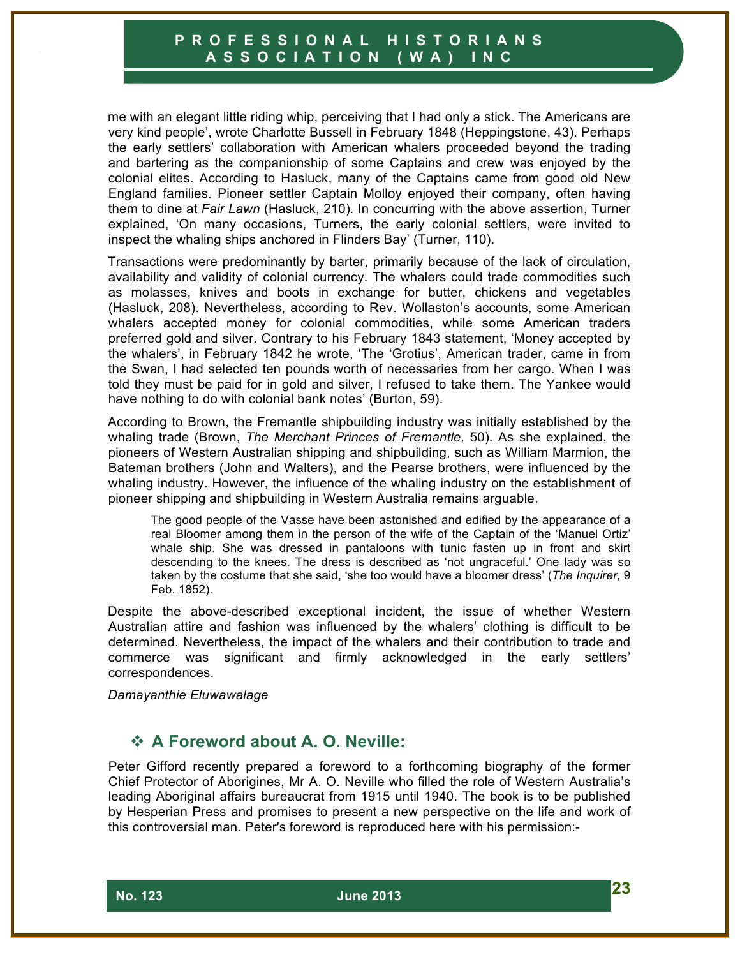me with an elegant little riding whip, perceiving that I had only a stick. The Americans are very kind people', wrote Charlotte Bussell in February 1848 (Heppingstone, 43). Perhaps the early settlers' collaboration with American whalers proceeded beyond the trading and bartering as the companionship of some Captains and crew was enjoyed by the colonial elites. According to Hasluck, many of the Captains came from good old New England families. Pioneer settler Captain Molloy enjoyed their company, often having them to dine at *Fair Lawn* (Hasluck, 210)*.* In concurring with the above assertion, Turner explained, 'On many occasions, Turners, the early colonial settlers, were invited to inspect the whaling ships anchored in Flinders Bay' (Turner, 110).

Transactions were predominantly by barter, primarily because of the lack of circulation, availability and validity of colonial currency. The whalers could trade commodities such as molasses, knives and boots in exchange for butter, chickens and vegetables (Hasluck, 208). Nevertheless, according to Rev. Wollaston's accounts, some American whalers accepted money for colonial commodities, while some American traders preferred gold and silver. Contrary to his February 1843 statement, 'Money accepted by the whalers', in February 1842 he wrote, 'The 'Grotius', American trader, came in from the Swan, I had selected ten pounds worth of necessaries from her cargo. When I was told they must be paid for in gold and silver, I refused to take them. The Yankee would have nothing to do with colonial bank notes' (Burton, 59).

According to Brown, the Fremantle shipbuilding industry was initially established by the whaling trade (Brown, *The Merchant Princes of Fremantle,* 50). As she explained, the pioneers of Western Australian shipping and shipbuilding, such as William Marmion, the Bateman brothers (John and Walters), and the Pearse brothers, were influenced by the whaling industry. However, the influence of the whaling industry on the establishment of pioneer shipping and shipbuilding in Western Australia remains arguable.

The good people of the Vasse have been astonished and edified by the appearance of a real Bloomer among them in the person of the wife of the Captain of the 'Manuel Ortiz' whale ship. She was dressed in pantaloons with tunic fasten up in front and skirt descending to the knees. The dress is described as 'not ungraceful.' One lady was so taken by the costume that she said, 'she too would have a bloomer dress' (*The Inquirer,* 9 Feb. 1852).

Despite the above-described exceptional incident, the issue of whether Western Australian attire and fashion was influenced by the whalers' clothing is difficult to be determined. Nevertheless, the impact of the whalers and their contribution to trade and commerce was significant and firmly acknowledged in the early settlers' correspondences.

*Damayanthie Eluwawalage*

## ! **A Foreword about A. O. Neville:**

Peter Gifford recently prepared a foreword to a forthcoming biography of the former Chief Protector of Aborigines, Mr A. O. Neville who filled the role of Western Australia's leading Aboriginal affairs bureaucrat from 1915 until 1940. The book is to be published by Hesperian Press and promises to present a new perspective on the life and work of this controversial man. Peter's foreword is reproduced here with his permission:-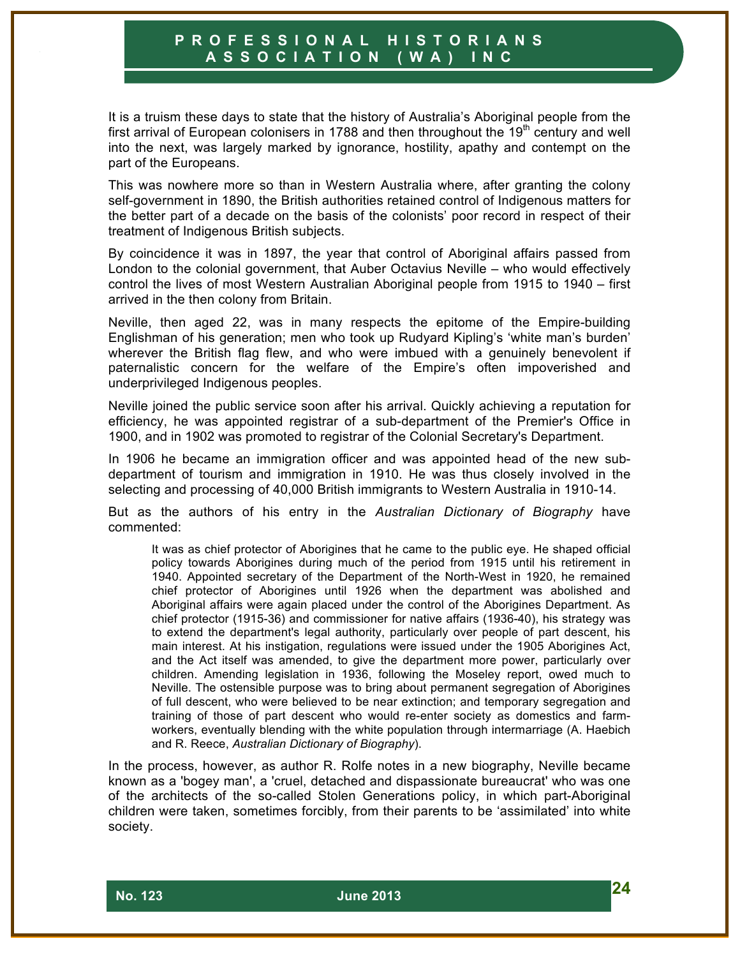It is a truism these days to state that the history of Australia's Aboriginal people from the first arrival of European colonisers in 1788 and then throughout the 19 $<sup>th</sup>$  century and well</sup> into the next, was largely marked by ignorance, hostility, apathy and contempt on the part of the Europeans.

This was nowhere more so than in Western Australia where, after granting the colony self-government in 1890, the British authorities retained control of Indigenous matters for the better part of a decade on the basis of the colonists' poor record in respect of their treatment of Indigenous British subjects.

By coincidence it was in 1897, the year that control of Aboriginal affairs passed from London to the colonial government, that Auber Octavius Neville – who would effectively control the lives of most Western Australian Aboriginal people from 1915 to 1940 – first arrived in the then colony from Britain.

Neville, then aged 22, was in many respects the epitome of the Empire-building Englishman of his generation; men who took up Rudyard Kipling's 'white man's burden' wherever the British flag flew, and who were imbued with a genuinely benevolent if paternalistic concern for the welfare of the Empire's often impoverished and underprivileged Indigenous peoples.

Neville joined the public service soon after his arrival. Quickly achieving a reputation for efficiency, he was appointed registrar of a sub-department of the Premier's Office in 1900, and in 1902 was promoted to registrar of the Colonial Secretary's Department.

In 1906 he became an immigration officer and was appointed head of the new subdepartment of tourism and immigration in 1910. He was thus closely involved in the selecting and processing of 40,000 British immigrants to Western Australia in 1910-14.

But as the authors of his entry in the *Australian Dictionary of Biography* have commented:

It was as chief protector of Aborigines that he came to the public eye. He shaped official policy towards Aborigines during much of the period from 1915 until his retirement in 1940. Appointed secretary of the Department of the North-West in 1920, he remained chief protector of Aborigines until 1926 when the department was abolished and Aboriginal affairs were again placed under the control of the Aborigines Department. As chief protector (1915-36) and commissioner for native affairs (1936-40), his strategy was to extend the department's legal authority, particularly over people of part descent, his main interest. At his instigation, regulations were issued under the 1905 Aborigines Act, and the Act itself was amended, to give the department more power, particularly over children. Amending legislation in 1936, following the Moseley report, owed much to Neville. The ostensible purpose was to bring about permanent segregation of Aborigines of full descent, who were believed to be near extinction; and temporary segregation and training of those of part descent who would re-enter society as domestics and farmworkers, eventually blending with the white population through intermarriage (A. Haebich and R. Reece, *Australian Dictionary of Biography*).

In the process, however, as author R. Rolfe notes in a new biography, Neville became known as a 'bogey man', a 'cruel, detached and dispassionate bureaucrat' who was one of the architects of the so-called Stolen Generations policy, in which part-Aboriginal children were taken, sometimes forcibly, from their parents to be 'assimilated' into white society.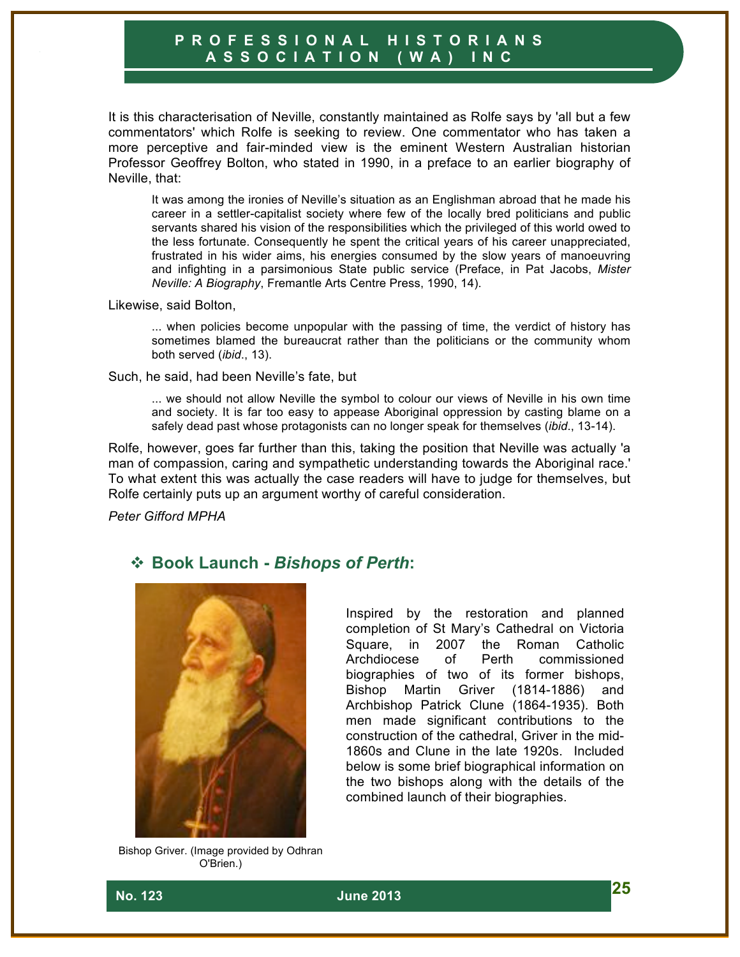It is this characterisation of Neville, constantly maintained as Rolfe says by 'all but a few commentators' which Rolfe is seeking to review. One commentator who has taken a more perceptive and fair-minded view is the eminent Western Australian historian Professor Geoffrey Bolton, who stated in 1990, in a preface to an earlier biography of Neville, that:

It was among the ironies of Neville's situation as an Englishman abroad that he made his career in a settler-capitalist society where few of the locally bred politicians and public servants shared his vision of the responsibilities which the privileged of this world owed to the less fortunate. Consequently he spent the critical years of his career unappreciated, frustrated in his wider aims, his energies consumed by the slow years of manoeuvring and infighting in a parsimonious State public service (Preface, in Pat Jacobs, *Mister Neville: A Biography*, Fremantle Arts Centre Press, 1990, 14).

Likewise, said Bolton,

... when policies become unpopular with the passing of time, the verdict of history has sometimes blamed the bureaucrat rather than the politicians or the community whom both served (*ibid*., 13).

Such, he said, had been Neville's fate, but

... we should not allow Neville the symbol to colour our views of Neville in his own time and society. It is far too easy to appease Aboriginal oppression by casting blame on a safely dead past whose protagonists can no longer speak for themselves (*ibid*., 13-14).

Rolfe, however, goes far further than this, taking the position that Neville was actually 'a man of compassion, caring and sympathetic understanding towards the Aboriginal race.' To what extent this was actually the case readers will have to judge for themselves, but Rolfe certainly puts up an argument worthy of careful consideration.

*Peter Gifford MPHA*

#### ! **Book Launch -** *Bishops of Perth***:**



Inspired by the restoration and planned completion of St Mary's Cathedral on Victoria Square, in 2007 the Roman Catholic Archdiocese of Perth commissioned biographies of two of its former bishops, Bishop Martin Griver (1814-1886) and Archbishop Patrick Clune (1864-1935). Both men made significant contributions to the construction of the cathedral, Griver in the mid-1860s and Clune in the late 1920s. Included below is some brief biographical information on the two bishops along with the details of the combined launch of their biographies.

Bishop Griver. (Image provided by Odhran O'Brien.)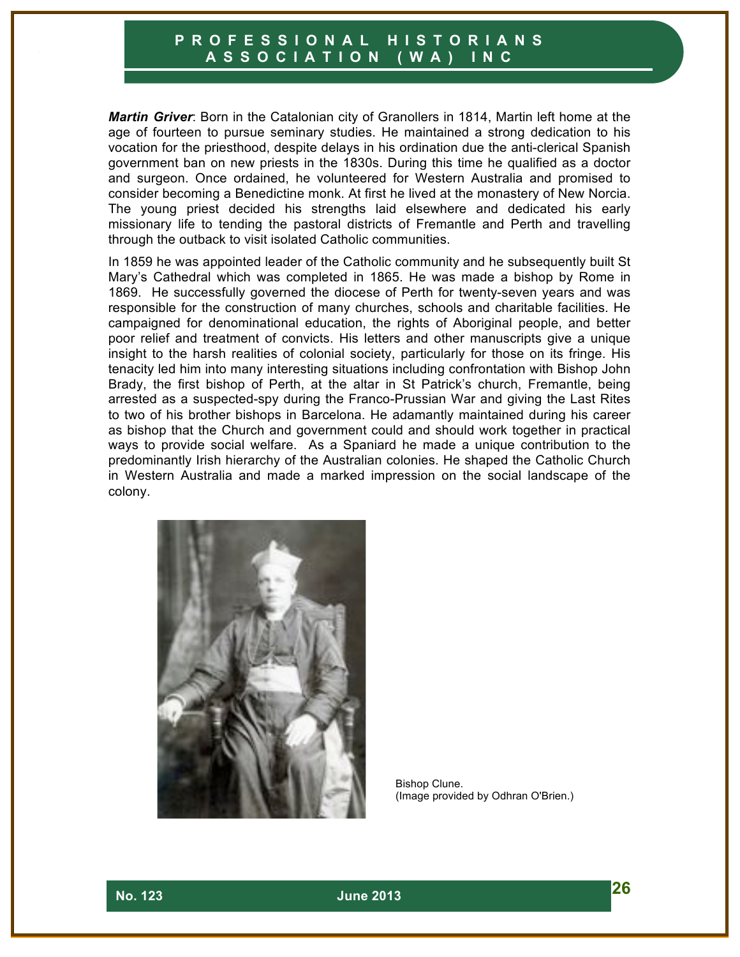*Martin Griver*: Born in the Catalonian city of Granollers in 1814, Martin left home at the age of fourteen to pursue seminary studies. He maintained a strong dedication to his vocation for the priesthood, despite delays in his ordination due the anti-clerical Spanish government ban on new priests in the 1830s. During this time he qualified as a doctor and surgeon. Once ordained, he volunteered for Western Australia and promised to consider becoming a Benedictine monk. At first he lived at the monastery of New Norcia. The young priest decided his strengths laid elsewhere and dedicated his early missionary life to tending the pastoral districts of Fremantle and Perth and travelling through the outback to visit isolated Catholic communities.

In 1859 he was appointed leader of the Catholic community and he subsequently built St Mary's Cathedral which was completed in 1865. He was made a bishop by Rome in 1869. He successfully governed the diocese of Perth for twenty-seven years and was responsible for the construction of many churches, schools and charitable facilities. He campaigned for denominational education, the rights of Aboriginal people, and better poor relief and treatment of convicts. His letters and other manuscripts give a unique insight to the harsh realities of colonial society, particularly for those on its fringe. His tenacity led him into many interesting situations including confrontation with Bishop John Brady, the first bishop of Perth, at the altar in St Patrick's church, Fremantle, being arrested as a suspected-spy during the Franco-Prussian War and giving the Last Rites to two of his brother bishops in Barcelona. He adamantly maintained during his career as bishop that the Church and government could and should work together in practical ways to provide social welfare. As a Spaniard he made a unique contribution to the predominantly Irish hierarchy of the Australian colonies. He shaped the Catholic Church in Western Australia and made a marked impression on the social landscape of the colony.



Bishop Clune. (Image provided by Odhran O'Brien.)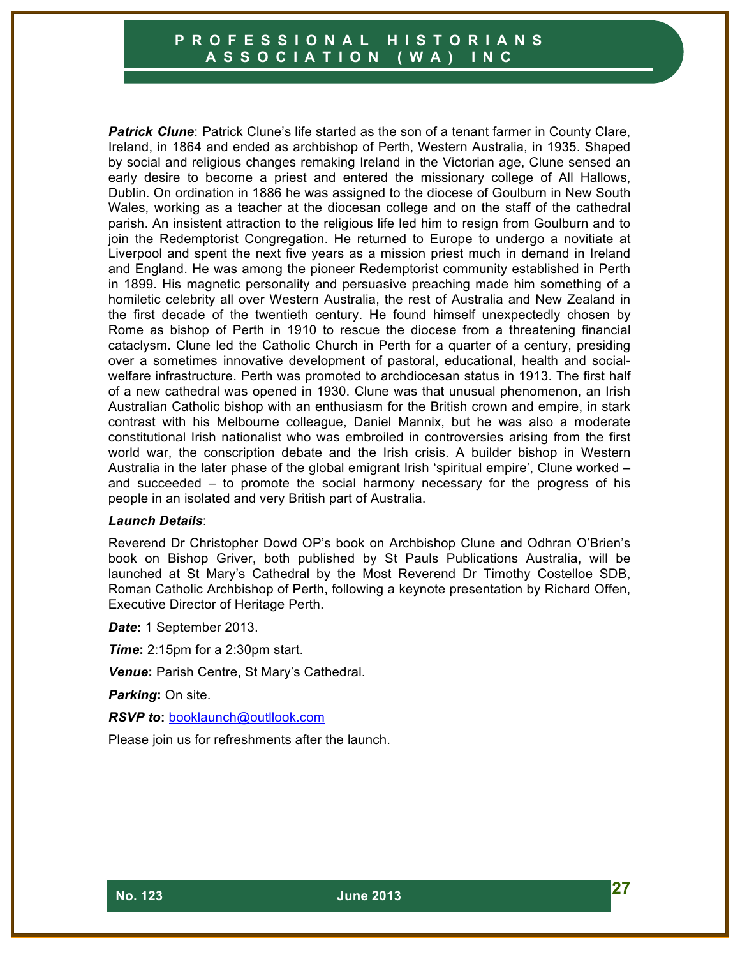*Patrick Clune*: Patrick Clune's life started as the son of a tenant farmer in County Clare, Ireland, in 1864 and ended as archbishop of Perth, Western Australia, in 1935. Shaped by social and religious changes remaking Ireland in the Victorian age, Clune sensed an early desire to become a priest and entered the missionary college of All Hallows, Dublin. On ordination in 1886 he was assigned to the diocese of Goulburn in New South Wales, working as a teacher at the diocesan college and on the staff of the cathedral parish. An insistent attraction to the religious life led him to resign from Goulburn and to join the Redemptorist Congregation. He returned to Europe to undergo a novitiate at Liverpool and spent the next five years as a mission priest much in demand in Ireland and England. He was among the pioneer Redemptorist community established in Perth in 1899. His magnetic personality and persuasive preaching made him something of a homiletic celebrity all over Western Australia, the rest of Australia and New Zealand in the first decade of the twentieth century. He found himself unexpectedly chosen by Rome as bishop of Perth in 1910 to rescue the diocese from a threatening financial cataclysm. Clune led the Catholic Church in Perth for a quarter of a century, presiding over a sometimes innovative development of pastoral, educational, health and socialwelfare infrastructure. Perth was promoted to archdiocesan status in 1913. The first half of a new cathedral was opened in 1930. Clune was that unusual phenomenon, an Irish Australian Catholic bishop with an enthusiasm for the British crown and empire, in stark contrast with his Melbourne colleague, Daniel Mannix, but he was also a moderate constitutional Irish nationalist who was embroiled in controversies arising from the first world war, the conscription debate and the Irish crisis. A builder bishop in Western Australia in the later phase of the global emigrant Irish 'spiritual empire', Clune worked – and succeeded – to promote the social harmony necessary for the progress of his people in an isolated and very British part of Australia.

#### *Launch Details*:

Reverend Dr Christopher Dowd OP's book on Archbishop Clune and Odhran O'Brien's book on Bishop Griver, both published by St Pauls Publications Australia, will be launched at St Mary's Cathedral by the Most Reverend Dr Timothy Costelloe SDB, Roman Catholic Archbishop of Perth, following a keynote presentation by Richard Offen, Executive Director of Heritage Perth.

*Date***:** 1 September 2013.

*Time***:** 2:15pm for a 2:30pm start.

*Venue***:** Parish Centre, St Mary's Cathedral.

*Parking***:** On site.

*RSVP to***:** booklaunch@outllook.com

Please join us for refreshments after the launch.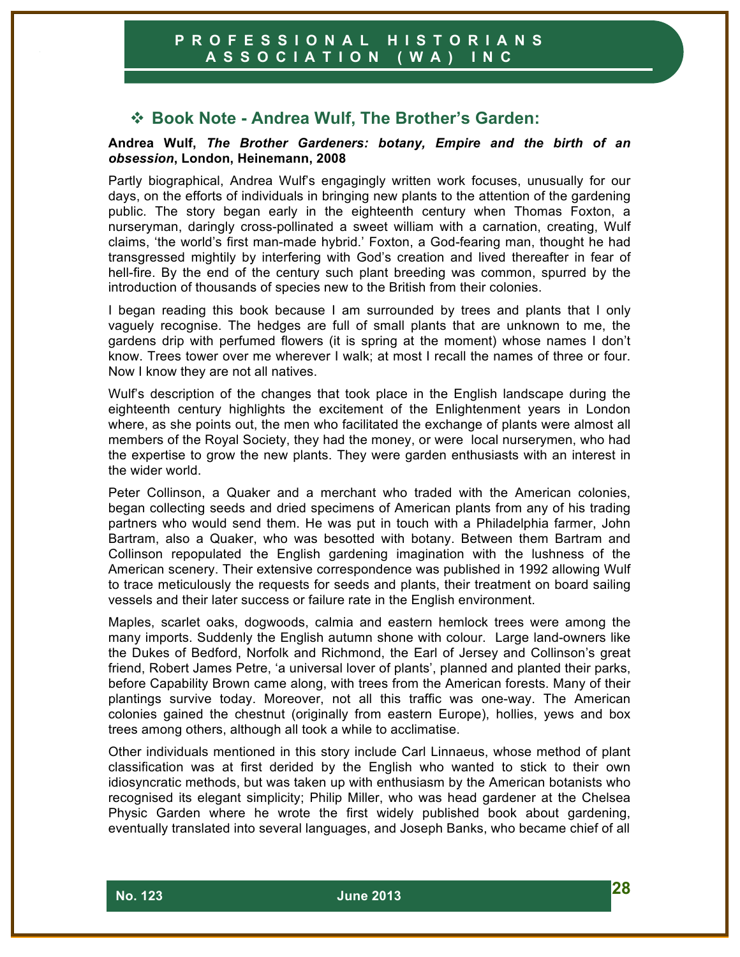# ! **Book Note - Andrea Wulf, The Brother's Garden:**

#### **Andrea Wulf,** *The Brother Gardeners: botany, Empire and the birth of an obsession***, London, Heinemann, 2008**

Partly biographical, Andrea Wulf's engagingly written work focuses, unusually for our days, on the efforts of individuals in bringing new plants to the attention of the gardening public. The story began early in the eighteenth century when Thomas Foxton, a nurseryman, daringly cross-pollinated a sweet william with a carnation, creating, Wulf claims, 'the world's first man-made hybrid.' Foxton, a God-fearing man, thought he had transgressed mightily by interfering with God's creation and lived thereafter in fear of hell-fire. By the end of the century such plant breeding was common, spurred by the introduction of thousands of species new to the British from their colonies.

I began reading this book because I am surrounded by trees and plants that I only vaguely recognise. The hedges are full of small plants that are unknown to me, the gardens drip with perfumed flowers (it is spring at the moment) whose names I don't know. Trees tower over me wherever I walk; at most I recall the names of three or four. Now I know they are not all natives.

Wulf's description of the changes that took place in the English landscape during the eighteenth century highlights the excitement of the Enlightenment years in London where, as she points out, the men who facilitated the exchange of plants were almost all members of the Royal Society, they had the money, or were local nurserymen, who had the expertise to grow the new plants. They were garden enthusiasts with an interest in the wider world.

Peter Collinson, a Quaker and a merchant who traded with the American colonies, began collecting seeds and dried specimens of American plants from any of his trading partners who would send them. He was put in touch with a Philadelphia farmer, John Bartram, also a Quaker, who was besotted with botany. Between them Bartram and Collinson repopulated the English gardening imagination with the lushness of the American scenery. Their extensive correspondence was published in 1992 allowing Wulf to trace meticulously the requests for seeds and plants, their treatment on board sailing vessels and their later success or failure rate in the English environment.

Maples, scarlet oaks, dogwoods, calmia and eastern hemlock trees were among the many imports. Suddenly the English autumn shone with colour. Large land-owners like the Dukes of Bedford, Norfolk and Richmond, the Earl of Jersey and Collinson's great friend, Robert James Petre, 'a universal lover of plants', planned and planted their parks, before Capability Brown came along, with trees from the American forests. Many of their plantings survive today. Moreover, not all this traffic was one-way. The American colonies gained the chestnut (originally from eastern Europe), hollies, yews and box trees among others, although all took a while to acclimatise.

Other individuals mentioned in this story include Carl Linnaeus, whose method of plant classification was at first derided by the English who wanted to stick to their own idiosyncratic methods, but was taken up with enthusiasm by the American botanists who recognised its elegant simplicity; Philip Miller, who was head gardener at the Chelsea Physic Garden where he wrote the first widely published book about gardening, eventually translated into several languages, and Joseph Banks, who became chief of all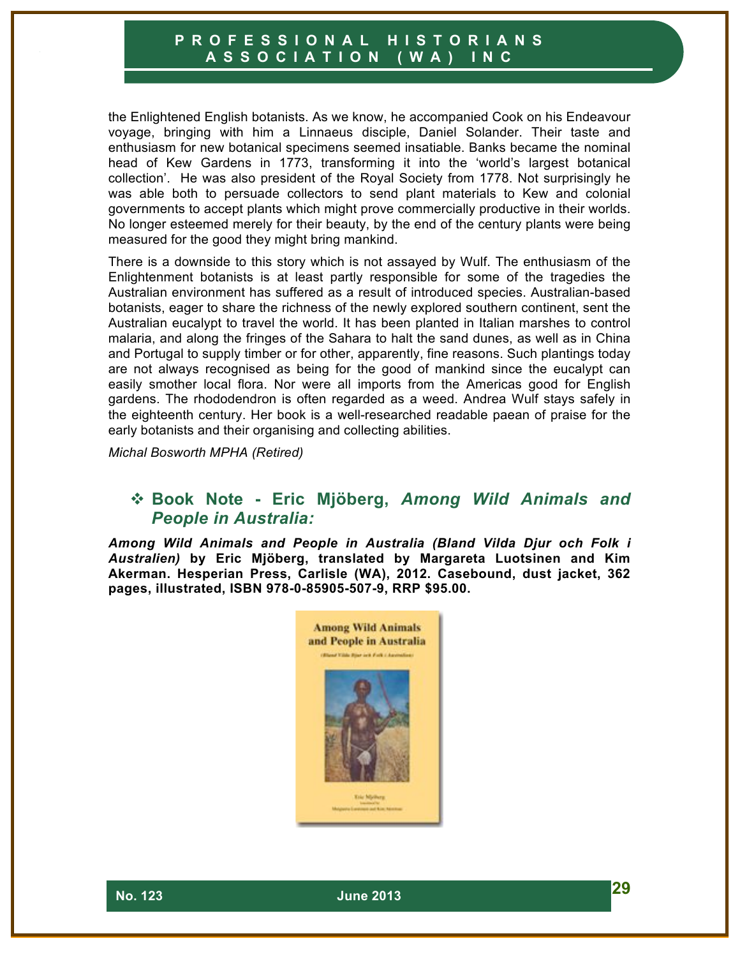the Enlightened English botanists. As we know, he accompanied Cook on his Endeavour voyage, bringing with him a Linnaeus disciple, Daniel Solander. Their taste and enthusiasm for new botanical specimens seemed insatiable. Banks became the nominal head of Kew Gardens in 1773, transforming it into the 'world's largest botanical collection'. He was also president of the Royal Society from 1778. Not surprisingly he was able both to persuade collectors to send plant materials to Kew and colonial governments to accept plants which might prove commercially productive in their worlds. No longer esteemed merely for their beauty, by the end of the century plants were being measured for the good they might bring mankind.

There is a downside to this story which is not assayed by Wulf. The enthusiasm of the Enlightenment botanists is at least partly responsible for some of the tragedies the Australian environment has suffered as a result of introduced species. Australian-based botanists, eager to share the richness of the newly explored southern continent, sent the Australian eucalypt to travel the world. It has been planted in Italian marshes to control malaria, and along the fringes of the Sahara to halt the sand dunes, as well as in China and Portugal to supply timber or for other, apparently, fine reasons. Such plantings today are not always recognised as being for the good of mankind since the eucalypt can easily smother local flora. Nor were all imports from the Americas good for English gardens. The rhododendron is often regarded as a weed. Andrea Wulf stays safely in the eighteenth century. Her book is a well-researched readable paean of praise for the early botanists and their organising and collecting abilities.

*Michal Bosworth MPHA (Retired)*

## ! **Book Note - Eric Mjöberg,** *Among Wild Animals and People in Australia:*

*Among Wild Animals and People in Australia (Bland Vilda Djur och Folk i Australien)* **by Eric Mjöberg, translated by Margareta Luotsinen and Kim Akerman. Hesperian Press, Carlisle (WA), 2012. Casebound, dust jacket, 362 pages, illustrated, ISBN 978-0-85905-507-9, RRP \$95.00.**

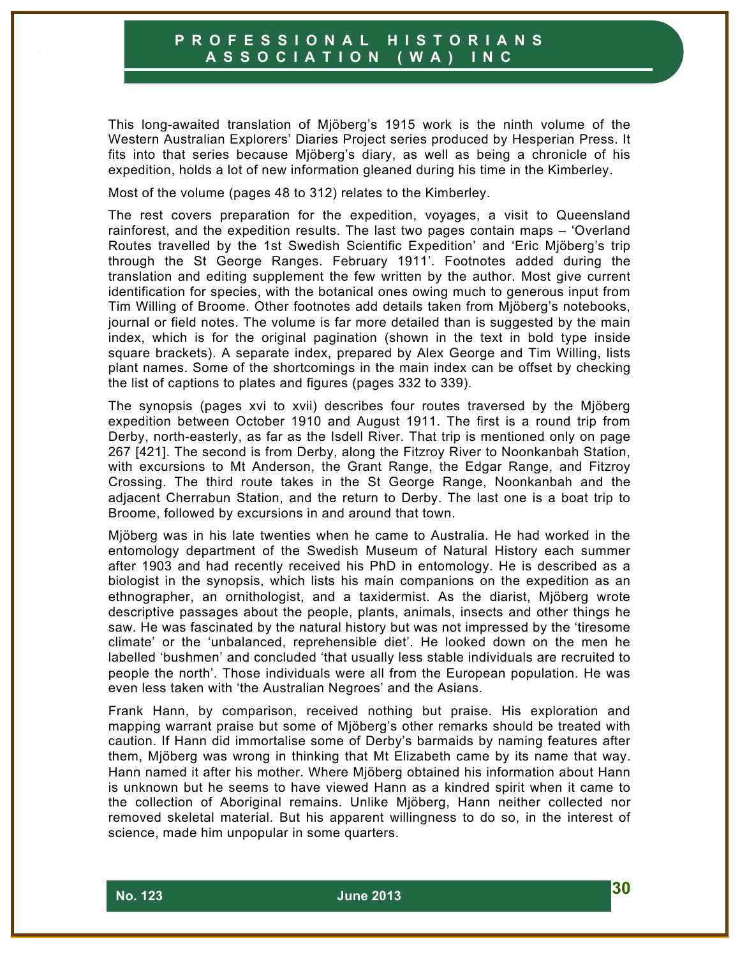This long-awaited translation of Mjöberg's 1915 work is the ninth volume of the Western Australian Explorers' Diaries Project series produced by Hesperian Press. It fits into that series because Mjöberg's diary, as well as being a chronicle of his expedition, holds a lot of new information gleaned during his time in the Kimberley.

Most of the volume (pages 48 to 312) relates to the Kimberley.

The rest covers preparation for the expedition, voyages, a visit to Queensland rainforest, and the expedition results. The last two pages contain maps – 'Overland Routes travelled by the 1st Swedish Scientific Expedition' and 'Eric Mjöberg's trip through the St George Ranges. February 1911'. Footnotes added during the translation and editing supplement the few written by the author. Most give current identification for species, with the botanical ones owing much to generous input from Tim Willing of Broome. Other footnotes add details taken from Mjöberg's notebooks, journal or field notes. The volume is far more detailed than is suggested by the main index, which is for the original pagination (shown in the text in bold type inside square brackets). A separate index, prepared by Alex George and Tim Willing, lists plant names. Some of the shortcomings in the main index can be offset by checking the list of captions to plates and figures (pages 332 to 339).

The synopsis (pages xvi to xvii) describes four routes traversed by the Mjöberg expedition between October 1910 and August 1911. The first is a round trip from Derby, north-easterly, as far as the Isdell River. That trip is mentioned only on page 267 [421]. The second is from Derby, along the Fitzroy River to Noonkanbah Station, with excursions to Mt Anderson, the Grant Range, the Edgar Range, and Fitzroy Crossing. The third route takes in the St George Range, Noonkanbah and the adjacent Cherrabun Station, and the return to Derby. The last one is a boat trip to Broome, followed by excursions in and around that town.

Mjöberg was in his late twenties when he came to Australia. He had worked in the entomology department of the Swedish Museum of Natural History each summer after 1903 and had recently received his PhD in entomology. He is described as a biologist in the synopsis, which lists his main companions on the expedition as an ethnographer, an ornithologist, and a taxidermist. As the diarist, Mjöberg wrote descriptive passages about the people, plants, animals, insects and other things he saw. He was fascinated by the natural history but was not impressed by the 'tiresome climate' or the 'unbalanced, reprehensible diet'. He looked down on the men he labelled 'bushmen' and concluded 'that usually less stable individuals are recruited to people the north'. Those individuals were all from the European population. He was even less taken with 'the Australian Negroes' and the Asians.

Frank Hann, by comparison, received nothing but praise. His exploration and mapping warrant praise but some of Mjöberg's other remarks should be treated with caution. If Hann did immortalise some of Derby's barmaids by naming features after them, Mjöberg was wrong in thinking that Mt Elizabeth came by its name that way. Hann named it after his mother. Where Mjöberg obtained his information about Hann is unknown but he seems to have viewed Hann as a kindred spirit when it came to the collection of Aboriginal remains. Unlike Mjöberg, Hann neither collected nor removed skeletal material. But his apparent willingness to do so, in the interest of science, made him unpopular in some quarters.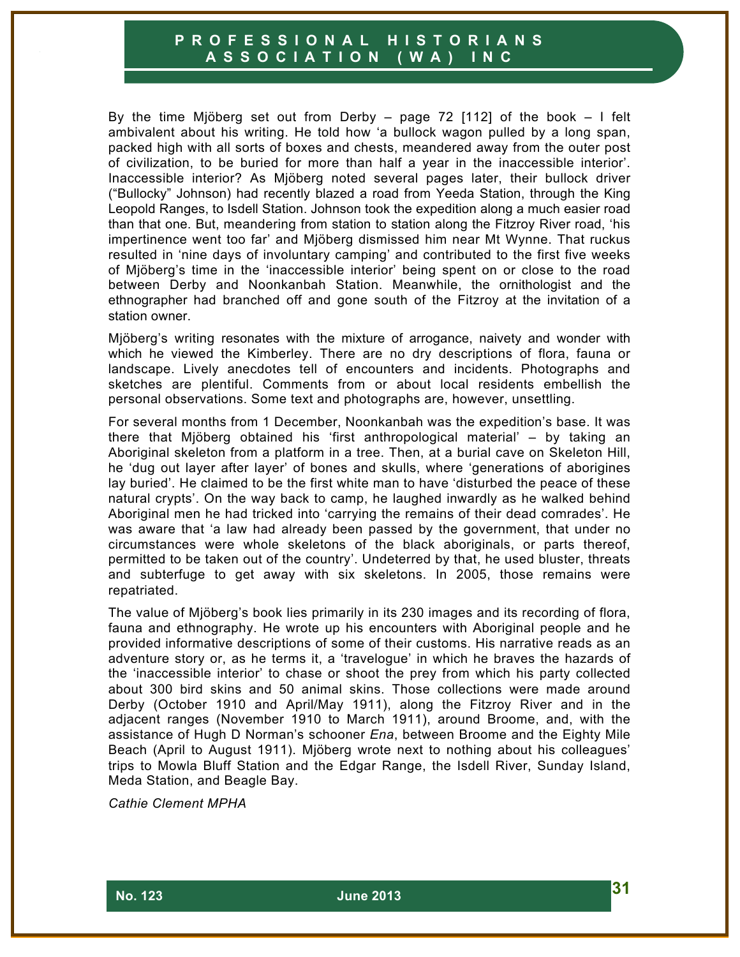By the time Mjöberg set out from Derby – page 72 [112] of the book – I felt ambivalent about his writing. He told how 'a bullock wagon pulled by a long span, packed high with all sorts of boxes and chests, meandered away from the outer post of civilization, to be buried for more than half a year in the inaccessible interior'. Inaccessible interior? As Mjöberg noted several pages later, their bullock driver ("Bullocky" Johnson) had recently blazed a road from Yeeda Station, through the King Leopold Ranges, to Isdell Station. Johnson took the expedition along a much easier road than that one. But, meandering from station to station along the Fitzroy River road, 'his impertinence went too far' and Mjöberg dismissed him near Mt Wynne. That ruckus resulted in 'nine days of involuntary camping' and contributed to the first five weeks of Mjöberg's time in the 'inaccessible interior' being spent on or close to the road between Derby and Noonkanbah Station. Meanwhile, the ornithologist and the ethnographer had branched off and gone south of the Fitzroy at the invitation of a station owner.

Mjöberg's writing resonates with the mixture of arrogance, naivety and wonder with which he viewed the Kimberley. There are no dry descriptions of flora, fauna or landscape. Lively anecdotes tell of encounters and incidents. Photographs and sketches are plentiful. Comments from or about local residents embellish the personal observations. Some text and photographs are, however, unsettling.

For several months from 1 December, Noonkanbah was the expedition's base. It was there that Mjöberg obtained his 'first anthropological material' – by taking an Aboriginal skeleton from a platform in a tree. Then, at a burial cave on Skeleton Hill, he 'dug out layer after layer' of bones and skulls, where 'generations of aborigines lay buried'. He claimed to be the first white man to have 'disturbed the peace of these natural crypts'. On the way back to camp, he laughed inwardly as he walked behind Aboriginal men he had tricked into 'carrying the remains of their dead comrades'. He was aware that 'a law had already been passed by the government, that under no circumstances were whole skeletons of the black aboriginals, or parts thereof, permitted to be taken out of the country'. Undeterred by that, he used bluster, threats and subterfuge to get away with six skeletons. In 2005, those remains were repatriated.

The value of Mjöberg's book lies primarily in its 230 images and its recording of flora, fauna and ethnography. He wrote up his encounters with Aboriginal people and he provided informative descriptions of some of their customs. His narrative reads as an adventure story or, as he terms it, a 'travelogue' in which he braves the hazards of the 'inaccessible interior' to chase or shoot the prey from which his party collected about 300 bird skins and 50 animal skins. Those collections were made around Derby (October 1910 and April/May 1911), along the Fitzroy River and in the adjacent ranges (November 1910 to March 1911), around Broome, and, with the assistance of Hugh D Norman's schooner *Ena*, between Broome and the Eighty Mile Beach (April to August 1911). Mjöberg wrote next to nothing about his colleagues' trips to Mowla Bluff Station and the Edgar Range, the Isdell River, Sunday Island, Meda Station, and Beagle Bay.

*Cathie Clement MPHA*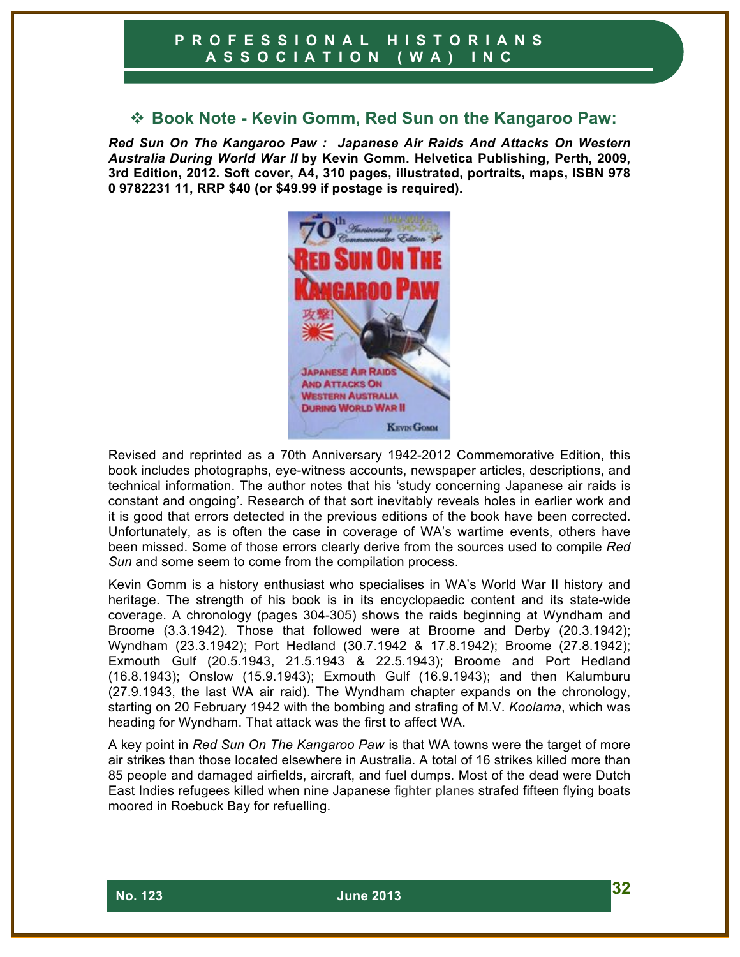# ! **Book Note - Kevin Gomm, Red Sun on the Kangaroo Paw:**

*Red Sun On The Kangaroo Paw : Japanese Air Raids And Attacks On Western Australia During World War II* **by Kevin Gomm. Helvetica Publishing, Perth, 2009, 3rd Edition, 2012. Soft cover, A4, 310 pages, illustrated, portraits, maps, ISBN 978 0 9782231 11, RRP \$40 (or \$49.99 if postage is required).**



Revised and reprinted as a 70th Anniversary 1942-2012 Commemorative Edition, this book includes photographs, eye-witness accounts, newspaper articles, descriptions, and technical information. The author notes that his 'study concerning Japanese air raids is constant and ongoing'. Research of that sort inevitably reveals holes in earlier work and it is good that errors detected in the previous editions of the book have been corrected. Unfortunately, as is often the case in coverage of WA's wartime events, others have been missed. Some of those errors clearly derive from the sources used to compile *Red*  Sun and some seem to come from the compilation process.

Kevin Gomm is a history enthusiast who specialises in WA's World War II history and heritage. The strength of his book is in its encyclopaedic content and its state-wide coverage. A chronology (pages 304-305) shows the raids beginning at Wyndham and Broome (3.3.1942). Those that followed were at Broome and Derby (20.3.1942); Wyndham (23.3.1942); Port Hedland (30.7.1942 & 17.8.1942); Broome (27.8.1942); Exmouth Gulf (20.5.1943, 21.5.1943 & 22.5.1943); Broome and Port Hedland (16.8.1943); Onslow (15.9.1943); Exmouth Gulf (16.9.1943); and then Kalumburu (27.9.1943, the last WA air raid). The Wyndham chapter expands on the chronology, starting on 20 February 1942 with the bombing and strafing of M.V. *Koolama*, which was heading for Wyndham. That attack was the first to affect WA.

A key point in *Red Sun On The Kangaroo Paw* is that WA towns were the target of more air strikes than those located elsewhere in Australia. A total of 16 strikes killed more than 85 people and damaged airfields, aircraft, and fuel dumps. Most of the dead were Dutch East Indies refugees killed when nine Japanese fighter planes strafed fifteen flying boats moored in Roebuck Bay for refuelling.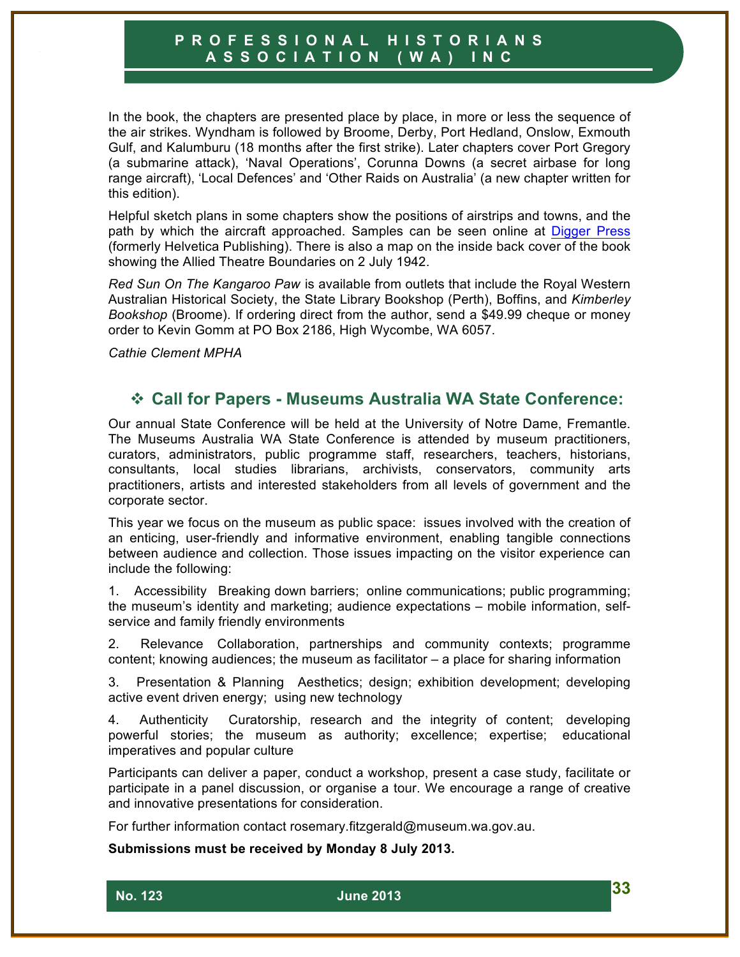In the book, the chapters are presented place by place, in more or less the sequence of the air strikes. Wyndham is followed by Broome, Derby, Port Hedland, Onslow, Exmouth Gulf, and Kalumburu (18 months after the first strike). Later chapters cover Port Gregory (a submarine attack), 'Naval Operations', Corunna Downs (a secret airbase for long range aircraft), 'Local Defences' and 'Other Raids on Australia' (a new chapter written for this edition).

Helpful sketch plans in some chapters show the positions of airstrips and towns, and the path by which the aircraft approached. Samples can be seen online at Digger Press (formerly Helvetica Publishing). There is also a map on the inside back cover of the book showing the Allied Theatre Boundaries on 2 July 1942.

*Red Sun On The Kangaroo Paw* is available from outlets that include the Royal Western Australian Historical Society, the State Library Bookshop (Perth), Boffins, and *Kimberley Bookshop* (Broome). If ordering direct from the author, send a \$49.99 cheque or money order to Kevin Gomm at PO Box 2186, High Wycombe, WA 6057.

*Cathie Clement MPHA*

#### ! **Call for Papers - Museums Australia WA State Conference:**

Our annual State Conference will be held at the University of Notre Dame, Fremantle. The Museums Australia WA State Conference is attended by museum practitioners, curators, administrators, public programme staff, researchers, teachers, historians, consultants, local studies librarians, archivists, conservators, community arts practitioners, artists and interested stakeholders from all levels of government and the corporate sector.

This year we focus on the museum as public space: issues involved with the creation of an enticing, user-friendly and informative environment, enabling tangible connections between audience and collection. Those issues impacting on the visitor experience can include the following:

1. Accessibility Breaking down barriers; online communications; public programming; the museum's identity and marketing; audience expectations – mobile information, selfservice and family friendly environments

2. Relevance Collaboration, partnerships and community contexts; programme content; knowing audiences; the museum as facilitator – a place for sharing information

3. Presentation & Planning Aesthetics; design; exhibition development; developing active event driven energy; using new technology

4. Authenticity Curatorship, research and the integrity of content; developing powerful stories; the museum as authority; excellence; expertise; educational imperatives and popular culture

Participants can deliver a paper, conduct a workshop, present a case study, facilitate or participate in a panel discussion, or organise a tour. We encourage a range of creative and innovative presentations for consideration.

For further information contact rosemary.fitzgerald@museum.wa.gov.au.

**Submissions must be received by Monday 8 July 2013.**

 **No. 123 June 2013 33**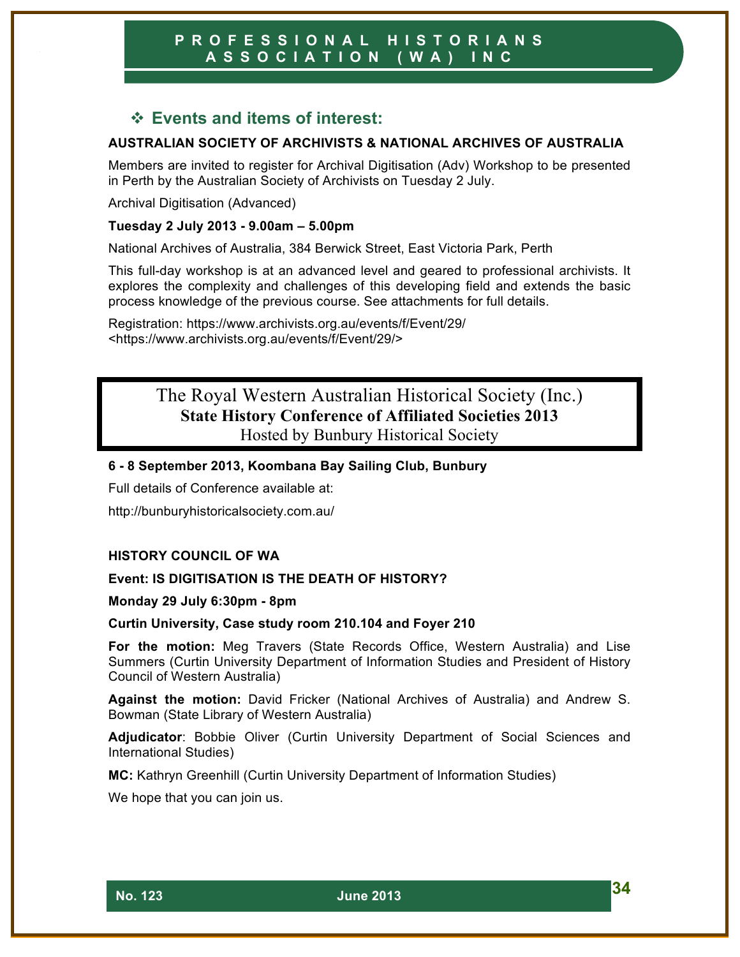# ! **Events and items of interest:**

#### **AUSTRALIAN SOCIETY OF ARCHIVISTS & NATIONAL ARCHIVES OF AUSTRALIA**

Members are invited to register for Archival Digitisation (Adv) Workshop to be presented in Perth by the Australian Society of Archivists on Tuesday 2 July.

Archival Digitisation (Advanced)

#### **Tuesday 2 July 2013 - 9.00am – 5.00pm**

National Archives of Australia, 384 Berwick Street, East Victoria Park, Perth

This full-day workshop is at an advanced level and geared to professional archivists. It explores the complexity and challenges of this developing field and extends the basic process knowledge of the previous course. See attachments for full details.

Registration: https://www.archivists.org.au/events/f/Event/29/ <https://www.archivists.org.au/events/f/Event/29/>

# The Royal Western Australian Historical Society (Inc.) **State History Conference of Affiliated Societies 2013** Hosted by Bunbury Historical Society

#### **6 - 8 September 2013, Koombana Bay Sailing Club, Bunbury**

Full details of Conference available at:

http://bunburyhistoricalsociety.com.au/

#### **HISTORY COUNCIL OF WA**

#### **Event: IS DIGITISATION IS THE DEATH OF HISTORY?**

**Monday 29 July 6:30pm - 8pm** 

#### **Curtin University, Case study room 210.104 and Foyer 210**

**For the motion:** Meg Travers (State Records Office, Western Australia) and Lise Summers (Curtin University Department of Information Studies and President of History Council of Western Australia)

**Against the motion:** David Fricker (National Archives of Australia) and Andrew S. Bowman (State Library of Western Australia)

**Adjudicator**: Bobbie Oliver (Curtin University Department of Social Sciences and International Studies)

**MC:** Kathryn Greenhill (Curtin University Department of Information Studies)

We hope that you can join us.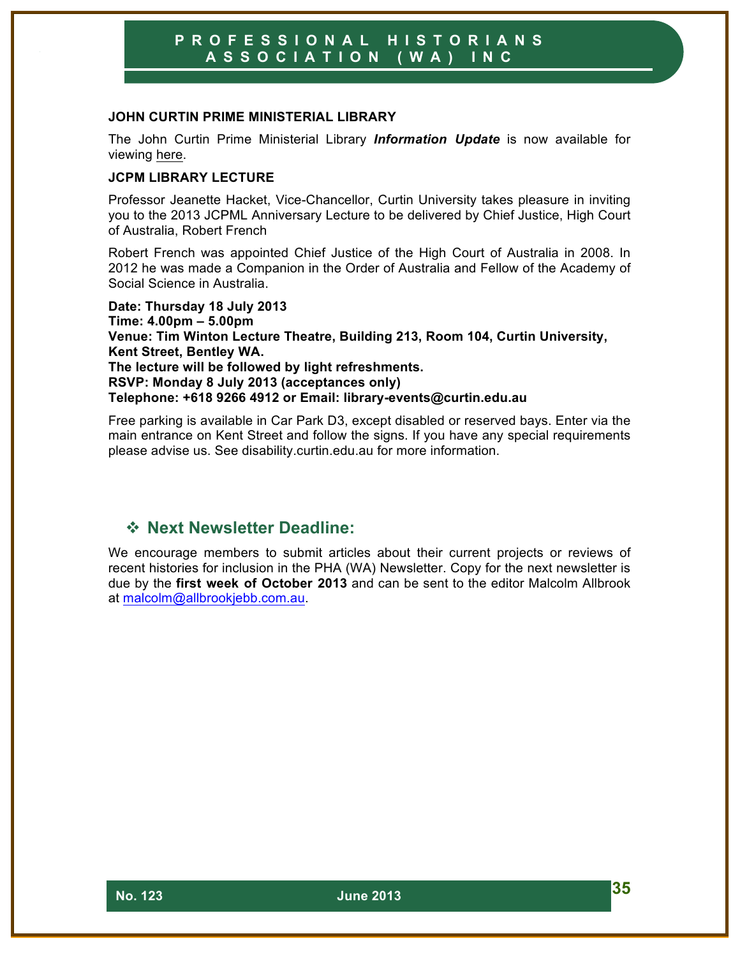#### **JOHN CURTIN PRIME MINISTERIAL LIBRARY**

The John Curtin Prime Ministerial Library *Information Update* is now available for viewing here.

#### **JCPM LIBRARY LECTURE**

Professor Jeanette Hacket, Vice-Chancellor, Curtin University takes pleasure in inviting you to the 2013 JCPML Anniversary Lecture to be delivered by Chief Justice, High Court of Australia, Robert French

Robert French was appointed Chief Justice of the High Court of Australia in 2008. In 2012 he was made a Companion in the Order of Australia and Fellow of the Academy of Social Science in Australia.

**Date: Thursday 18 July 2013 Time: 4.00pm – 5.00pm Venue: Tim Winton Lecture Theatre, Building 213, Room 104, Curtin University, Kent Street, Bentley WA. The lecture will be followed by light refreshments. RSVP: Monday 8 July 2013 (acceptances only) Telephone: +618 9266 4912 or Email: library-events@curtin.edu.au**

Free parking is available in Car Park D3, except disabled or reserved bays. Enter via the main entrance on Kent Street and follow the signs. If you have any special requirements please advise us. See disability.curtin.edu.au for more information.

## ! **Next Newsletter Deadline:**

We encourage members to submit articles about their current projects or reviews of recent histories for inclusion in the PHA (WA) Newsletter. Copy for the next newsletter is due by the **first week of October 2013** and can be sent to the editor Malcolm Allbrook at malcolm@allbrookjebb.com.au.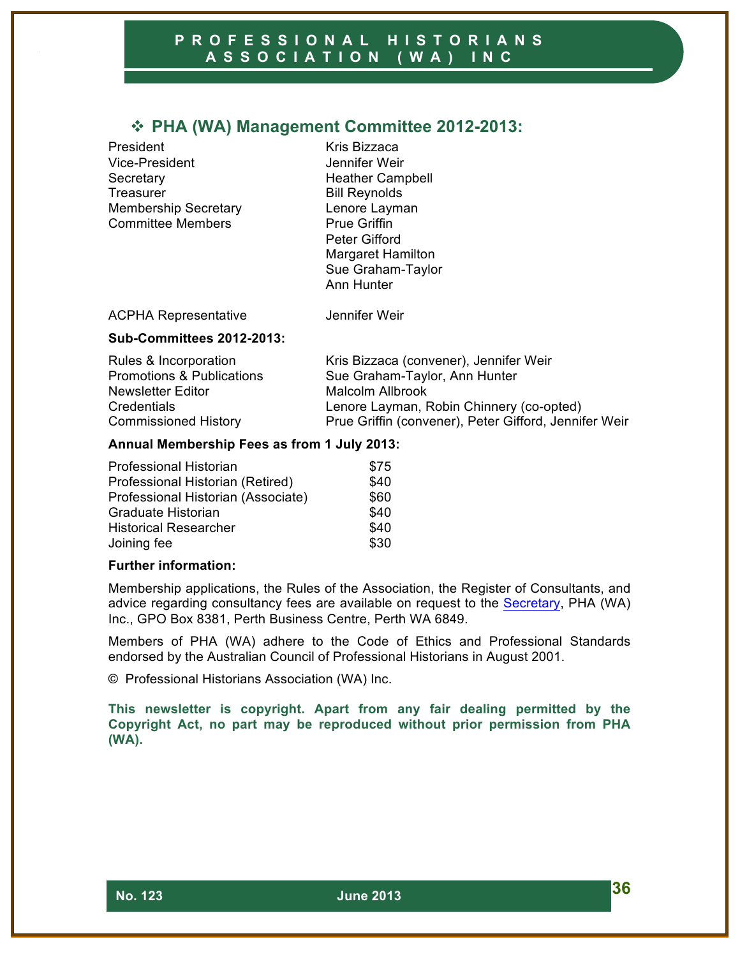# ! **PHA (WA) Management Committee 2012-2013:**

President Kris Bizzaca Vice-President Jennifer Weir Secretary **Heather Campbell** Treasurer **Bill Reynolds** Membership Secretary **Lenore Layman** Committee Members **Prue Griffin** 

Peter Gifford Margaret Hamilton Sue Graham-Taylor Ann Hunter

ACPHA Representative **Jennifer Weir** 

#### **Sub-Committees 2012-2013:**

| Rules & Incorporation                | Kris Bizzaca (convener), Jennifer Weir                |
|--------------------------------------|-------------------------------------------------------|
| <b>Promotions &amp; Publications</b> | Sue Graham-Taylor, Ann Hunter                         |
| Newsletter Editor                    | Malcolm Allbrook                                      |
| Credentials                          | Lenore Layman, Robin Chinnery (co-opted)              |
| <b>Commissioned History</b>          | Prue Griffin (convener), Peter Gifford, Jennifer Weir |

#### **Annual Membership Fees as from 1 July 2013:**

| <b>Professional Historian</b>      | \$75 |
|------------------------------------|------|
| Professional Historian (Retired)   | \$40 |
| Professional Historian (Associate) | \$60 |
| Graduate Historian                 | \$40 |
| <b>Historical Researcher</b>       | \$40 |
| Joining fee                        | \$30 |

#### **Further information:**

Membership applications, the Rules of the Association, the Register of Consultants, and advice regarding consultancy fees are available on request to the Secretary, PHA (WA) Inc., GPO Box 8381, Perth Business Centre, Perth WA 6849.

Members of PHA (WA) adhere to the Code of Ethics and Professional Standards endorsed by the Australian Council of Professional Historians in August 2001.

© Professional Historians Association (WA) Inc.

**This newsletter is copyright. Apart from any fair dealing permitted by the Copyright Act, no part may be reproduced without prior permission from PHA (WA).**